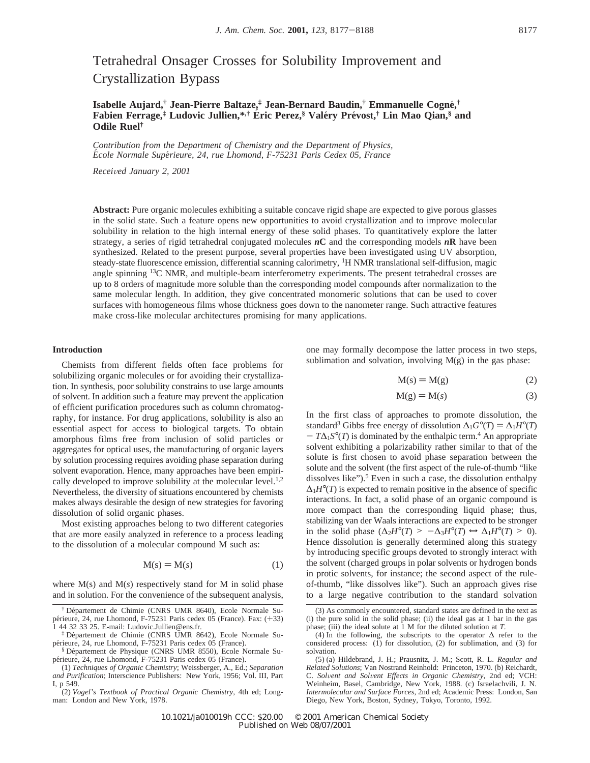# Tetrahedral Onsager Crosses for Solubility Improvement and Crystallization Bypass

# **Isabelle Aujard,† Jean-Pierre Baltaze,‡ Jean-Bernard Baudin,† Emmanuelle Cogne**´**, † Fabien Ferrage,‡ Ludovic Jullien,\*,† <sup>E</sup>**Ä **ric Perez,§ Vale**´**ry Pre**´**vost,† Lin Mao Qian,§ and Odile Ruel†**

*Contribution from the Department of Chemistry and the Department of Physics, <sup>E</sup>*Ä *cole Normale Supe*´*rieure, 24, rue Lhomond, F-75231 Paris Cedex 05, France*

*Recei*V*ed January 2, 2001*

**Abstract:** Pure organic molecules exhibiting a suitable concave rigid shape are expected to give porous glasses in the solid state. Such a feature opens new opportunities to avoid crystallization and to improve molecular solubility in relation to the high internal energy of these solid phases. To quantitatively explore the latter strategy, a series of rigid tetrahedral conjugated molecules *n***C** and the corresponding models *n***R** have been synthesized. Related to the present purpose, several properties have been investigated using UV absorption, steady-state fluorescence emission, differential scanning calorimetry, <sup>1</sup>H NMR translational self-diffusion, magic angle spinning <sup>13</sup>C NMR, and multiple-beam interferometry experiments. The present tetrahedral crosses are up to 8 orders of magnitude more soluble than the corresponding model compounds after normalization to the same molecular length. In addition, they give concentrated monomeric solutions that can be used to cover surfaces with homogeneous films whose thickness goes down to the nanometer range. Such attractive features make cross-like molecular architectures promising for many applications.

### **Introduction**

Chemists from different fields often face problems for solubilizing organic molecules or for avoiding their crystallization. In synthesis, poor solubility constrains to use large amounts of solvent. In addition such a feature may prevent the application of efficient purification procedures such as column chromatography, for instance. For drug applications, solubility is also an essential aspect for access to biological targets. To obtain amorphous films free from inclusion of solid particles or aggregates for optical uses, the manufacturing of organic layers by solution processing requires avoiding phase separation during solvent evaporation. Hence, many approaches have been empirically developed to improve solubility at the molecular level.<sup>1,2</sup> Nevertheless, the diversity of situations encountered by chemists makes always desirable the design of new strategies for favoring dissolution of solid organic phases.

Most existing approaches belong to two different categories that are more easily analyzed in reference to a process leading to the dissolution of a molecular compound M such as:

$$
M(s) = M(s) \tag{1}
$$

where  $M(s)$  and  $M(s)$  respectively stand for M in solid phase and in solution. For the convenience of the subsequent analysis,

(2) *Vogel's Textbook of Practical Organic Chemistry*, 4th ed; Longman: London and New York, 1978.

one may formally decompose the latter process in two steps, sublimation and solvation, involving  $M(g)$  in the gas phase:

$$
M(s) = M(g) \tag{2}
$$

$$
M(g) = M(s) \tag{3}
$$

In the first class of approaches to promote dissolution, the standard<sup>3</sup> Gibbs free energy of dissolution  $\Delta_1 G^{\circ}(T) = \Delta_1 H^{\circ}(T)$  $-T\Delta_1S^{\circ}(T)$  is dominated by the enthalpic term.<sup>4</sup> An appropriate solvent exhibiting a polarizability rather similar to that of the solute is first chosen to avoid phase separation between the solute and the solvent (the first aspect of the rule-of-thumb "like dissolves like" $)$ .<sup>5</sup> Even in such a case, the dissolution enthalpy  $\Delta_1 H^{\circ}(T)$  is expected to remain positive in the absence of specific interactions. In fact, a solid phase of an organic compound is more compact than the corresponding liquid phase; thus, stabilizing van der Waals interactions are expected to be stronger in the solid phase  $(\Delta_2 H^{\circ}(T) > -\Delta_3 H^{\circ}(T) \Leftrightarrow \Delta_1 H^{\circ}(T) > 0)$ . Hence dissolution is generally determined along this strategy by introducing specific groups devoted to strongly interact with the solvent (charged groups in polar solvents or hydrogen bonds in protic solvents, for instance; the second aspect of the ruleof-thumb, "like dissolves like"). Such an approach gives rise to a large negative contribution to the standard solvation

<sup>&</sup>lt;sup>†</sup> Département de Chimie (CNRS UMR 8640), Ecole Normale Supérieure, 24, rue Lhomond, F-75231 Paris cedex 05 (France). Fax: (+33) 1 44 32 33 25. E-mail: Ludovic.Jullien@ens.fr.

<sup>&</sup>lt;sup>‡</sup> Département de Chimie (CNRS UMR 8642), Ecole Normale Supérieure, 24, rue Lhomond, F-75231 Paris cedex 05 (France).

<sup>§</sup> Département de Physique (CNRS UMR 8550), Ecole Normale Supérieure, 24, rue Lhomond, F-75231 Paris cedex 05 (France).

<sup>(1)</sup> *Techniques of Organic Chemistry*; Weissberger, A., Ed.; *Separation and Purification*; Interscience Publishers: New York, 1956; Vol. III, Part I, p 549.

<sup>(3)</sup> As commonly encountered, standard states are defined in the text as (i) the pure solid in the solid phase; (ii) the ideal gas at 1 bar in the gas phase; (iii) the ideal solute at 1 M for the diluted solution at *T*.

<sup>(4)</sup> In the following, the subscripts to the operator ∆ refer to the considered process: (1) for dissolution, (2) for sublimation, and (3) for solvation.

<sup>(5) (</sup>a) Hildebrand, J. H.; Prausnitz, J. M.; Scott, R. L. *Regular and Related Solutions*; Van Nostrand Reinhold: Princeton, 1970. (b) Reichardt, C. *Sol*V*ent and Sol*V*ent Effects in Organic Chemistry*, 2nd ed; VCH: Weinheim, Basel, Cambridge, New York, 1988. (c) Israelachvili, J. N. *Intermolecular and Surface Forces*, 2nd ed; Academic Press: London, San Diego, New York, Boston, Sydney, Tokyo, Toronto, 1992.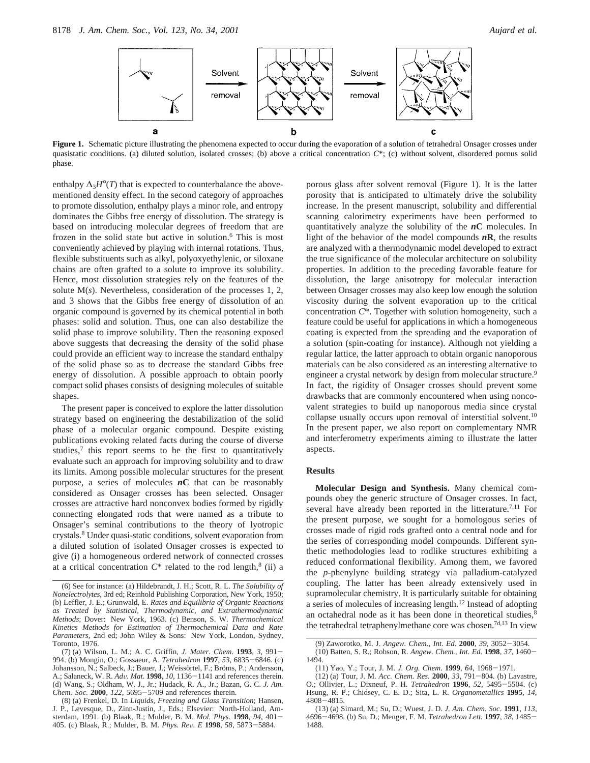

**Figure 1.** Schematic picture illustrating the phenomena expected to occur during the evaporation of a solution of tetrahedral Onsager crosses under quasistatic conditions. (a) diluted solution, isolated crosses; (b) above a critical concentration *C*\*; (c) without solvent, disordered porous solid phase.

enthalpy  $\Delta_3 H^{\circ}(T)$  that is expected to counterbalance the abovementioned density effect. In the second category of approaches to promote dissolution, enthalpy plays a minor role, and entropy dominates the Gibbs free energy of dissolution. The strategy is based on introducing molecular degrees of freedom that are frozen in the solid state but active in solution.6 This is most conveniently achieved by playing with internal rotations. Thus, flexible substituents such as alkyl, polyoxyethylenic, or siloxane chains are often grafted to a solute to improve its solubility. Hence, most dissolution strategies rely on the features of the solute M(*s*). Nevertheless, consideration of the processes 1, 2, and 3 shows that the Gibbs free energy of dissolution of an organic compound is governed by its chemical potential in both phases: solid and solution. Thus, one can also destabilize the solid phase to improve solubility. Then the reasoning exposed above suggests that decreasing the density of the solid phase could provide an efficient way to increase the standard enthalpy of the solid phase so as to decrease the standard Gibbs free energy of dissolution. A possible approach to obtain poorly compact solid phases consists of designing molecules of suitable shapes.

The present paper is conceived to explore the latter dissolution strategy based on engineering the destabilization of the solid phase of a molecular organic compound. Despite existing publications evoking related facts during the course of diverse studies, $7$  this report seems to be the first to quantitatively evaluate such an approach for improving solubility and to draw its limits. Among possible molecular structures for the present purpose, a series of molecules *n***C** that can be reasonably considered as Onsager crosses has been selected. Onsager crosses are attractive hard nonconvex bodies formed by rigidly connecting elongated rods that were named as a tribute to Onsager's seminal contributions to the theory of lyotropic crystals.8 Under quasi-static conditions, solvent evaporation from a diluted solution of isolated Onsager crosses is expected to give (i) a homogeneous ordered network of connected crosses at a critical concentration  $C^*$  related to the rod length,<sup>8</sup> (ii) a

porous glass after solvent removal (Figure 1). It is the latter porosity that is anticipated to ultimately drive the solubility increase. In the present manuscript, solubility and differential scanning calorimetry experiments have been performed to quantitatively analyze the solubility of the *n***C** molecules. In light of the behavior of the model compounds  $n\mathbf{R}$ , the results are analyzed with a thermodynamic model developed to extract the true significance of the molecular architecture on solubility properties. In addition to the preceding favorable feature for dissolution, the large anisotropy for molecular interaction between Onsager crosses may also keep low enough the solution viscosity during the solvent evaporation up to the critical concentration *C*\*. Together with solution homogeneity, such a feature could be useful for applications in which a homogeneous coating is expected from the spreading and the evaporation of a solution (spin-coating for instance). Although not yielding a regular lattice, the latter approach to obtain organic nanoporous materials can be also considered as an interesting alternative to engineer a crystal network by design from molecular structure.<sup>9</sup> In fact, the rigidity of Onsager crosses should prevent some drawbacks that are commonly encountered when using noncovalent strategies to build up nanoporous media since crystal collapse usually occurs upon removal of interstitial solvent.<sup>10</sup> In the present paper, we also report on complementary NMR and interferometry experiments aiming to illustrate the latter aspects.

#### **Results**

**Molecular Design and Synthesis.** Many chemical compounds obey the generic structure of Onsager crosses. In fact, several have already been reported in the litterature.<sup>7,11</sup> For the present purpose, we sought for a homologous series of crosses made of rigid rods grafted onto a central node and for the series of corresponding model compounds. Different synthetic methodologies lead to rodlike structures exhibiting a reduced conformational flexibility. Among them, we favored the *p*-phenylyne building strategy via palladium-catalyzed coupling. The latter has been already extensively used in supramolecular chemistry. It is particularly suitable for obtaining a series of molecules of increasing length.12 Instead of adopting an octahedral node as it has been done in theoretical studies,<sup>8</sup> the tetrahedral tetraphenylmethane core was chosen.7d,13 In view

<sup>(6)</sup> See for instance: (a) Hildebrandt, J. H.; Scott, R. L. *The Solubility of Nonelectrolytes*, 3rd ed; Reinhold Publishing Corporation, New York, 1950; (b) Leffler, J. E.; Grunwald, E. *Rates and Equilibria of Organic Reactions as Treated by Statistical, Thermodynamic, and Extrathermodynamic Methods*; Dover: New York, 1963. (c) Benson, S. W. *Thermochemical Kinetics Methods for Estimation of Thermochemical Data and Rate Parameters*, 2nd ed; John Wiley & Sons: New York, London, Sydney, Toronto, 1976.

<sup>(7) (</sup>a) Wilson, L. M.; A. C. Griffin*, J. Mater. Chem*. **<sup>1993</sup>**, *<sup>3</sup>*, 991- 994. (b) Mongin, O.; Gossaeur, A. *Tetrahedron* **<sup>1997</sup>**, *<sup>53</sup>*, 6835-6846. (c) Johansson, N.; Salbeck, J.; Bauer, J.; Weissörtel, F.; Bröms, P.; Andersson, A.; Salaneck, W. R. *Ad*V*. Mat*. **<sup>1998</sup>**, *<sup>10</sup>*, 1136-1141 and references therein. (d) Wang, S.; Oldham, W. J., Jr.; Hudack, R. A., Jr.; Bazan, G. C. *J. Am. Chem. Soc*. **<sup>2000</sup>**, *<sup>122</sup>*, 5695-5709 and references therein.

<sup>(8) (</sup>a) Frenkel, D. In *Liquids, Freezing and Glass Transition*; Hansen, J. P., Levesque, D., Zinn-Justin, J., Eds.; Elsevier: North-Holland, Am-<br>sterdam, 1991. (b) Blaak, R.; Mulder, B. M. *Mol. Phys.* **1998**, 94, 401– sterdam, 1991. (b) Blaak, R.; Mulder, B. M. *Mol. Phys.* **<sup>1998</sup>**, *<sup>94</sup>*, 401- 405. (c) Blaak, R.; Mulder, B. M. *Phys. Re*V*. E* **<sup>1998</sup>**, *<sup>58</sup>*, 5873-5884.

<sup>(9)</sup> Zaworotko, M. J. *Angew. Chem., Int. Ed*. **<sup>2000</sup>**, *<sup>39</sup>*, 3052-3054.

<sup>(10)</sup> Batten, S. R.; Robson, R. *Angew. Chem., Int. Ed*. **<sup>1998</sup>**, *<sup>37</sup>*, 1460- 1494.

<sup>(11)</sup> Yao, Y.; Tour, J. M. *J. Org. Chem*. **<sup>1999</sup>**, *<sup>64</sup>*, 1968-1971.

<sup>(12) (</sup>a) Tour, J. M. *Acc. Chem. Res.* **<sup>2000</sup>**, *<sup>33</sup>*, 791-804. (b) Lavastre, O.; Ollivier, L.; Dixneuf, P. H. *Tetrahedron* **<sup>1996</sup>**, *<sup>52</sup>*, 5495-5504. (c) Hsung, R. P.; Chidsey, C. E. D.; Sita, L. R. *Organometallics* **1995**, *14*, <sup>4808</sup>-4815.

<sup>(13) (</sup>a) Simard, M.; Su, D.; Wuest, J. D. *J. Am. Chem. Soc*. **1991**, *113*, <sup>4696</sup>-4698. (b) Su, D.; Menger, F. M. *Tetrahedron Lett.* **<sup>1997</sup>**, *<sup>38</sup>*, 1485- 1488.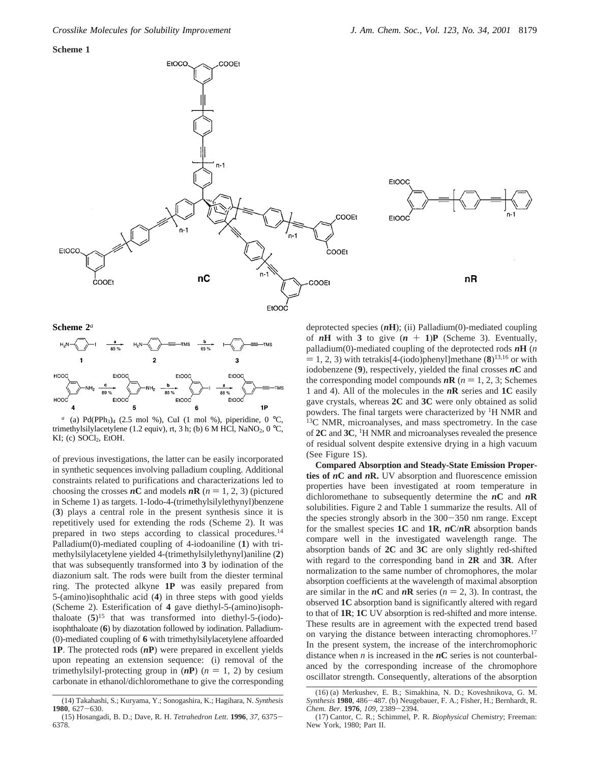







(a) Pd(PPh<sub>3</sub>)<sub>4</sub> (2.5 mol %), CuI (1 mol %), piperidine, 0  $^{\circ}$ C, trimethylsilylacetylene (1.2 equiv), rt, 3 h; (b) 6 M HCl, NaNO<sub>2</sub>, 0 °C, KI; (c)  $S OCl<sub>2</sub>$ , EtOH.

of previous investigations, the latter can be easily incorporated in synthetic sequences involving palladium coupling. Additional constraints related to purifications and characterizations led to choosing the crosses  $nC$  and models  $nR$  ( $n = 1, 2, 3$ ) (pictured in Scheme 1) as targets. 1-Iodo-4-(trimethylsilylethynyl)benzene (**3**) plays a central role in the present synthesis since it is repetitively used for extending the rods (Scheme 2). It was prepared in two steps according to classical procedures.<sup>14</sup> Palladium(0)-mediated coupling of 4-iodoaniline (**1**) with trimethylsilylacetylene yielded 4-(trimethylsilylethynyl)aniline (**2**) that was subsequently transformed into **3** by iodination of the diazonium salt. The rods were built from the diester terminal ring. The protected alkyne **1P** was easily prepared from 5-(amino)isophthalic acid (**4**) in three steps with good yields (Scheme 2). Esterification of **4** gave diethyl-5-(amino)isophthaloate  $(5)^{15}$  that was transformed into diethyl-5-(iodo)isophthaloate (**6**) by diazotation followed by iodination. Palladium- (0)-mediated coupling of **6** with trimethylsilylacetylene affoarded **1P**. The protected rods (*n***P**) were prepared in excellent yields upon repeating an extension sequence: (i) removal of the trimethylsilyl-protecting group in  $(nP)$   $(n = 1, 2)$  by cesium carbonate in ethanol/dichloromethane to give the corresponding

deprotected species (*n***H**); (ii) Palladium(0)-mediated coupling of  $nH$  with 3 to give  $(n + 1)P$  (Scheme 3). Eventually, palladium(0)-mediated coupling of the deprotected rods *n***H** (*n*  $= 1, 2, 3$ ) with tetrakis<sup>[4-(iodo)phenyl]methane (8)<sup>13,16</sup> or with</sup> iodobenzene (**9**), respectively, yielded the final crosses *n***C** and the corresponding model compounds  $n\mathbf{R}$  ( $n = 1, 2, 3$ ; Schemes 1 and 4). All of the molecules in the *n***R** series and **1C** easily gave crystals, whereas **2C** and **3C** were only obtained as solid powders. The final targets were characterized by 1H NMR and 13C NMR, microanalyses, and mass spectrometry. In the case of **2C** and **3C**, 1H NMR and microanalyses revealed the presence of residual solvent despite extensive drying in a high vacuum (See Figure 1S).

**Compared Absorption and Steady-State Emission Properties of** *n***C and** *n***R.** UV absorption and fluorescence emission properties have been investigated at room temperature in dichloromethane to subsequently determine the *n***C** and *n***R** solubilities. Figure 2 and Table 1 summarize the results. All of the species strongly absorb in the 300-350 nm range. Except for the smallest species  $1C$  and  $1R$ ,  $nC/nR$  absorption bands compare well in the investigated wavelength range. The absorption bands of **2C** and **3C** are only slightly red-shifted with regard to the corresponding band in **2R** and **3R**. After normalization to the same number of chromophores, the molar absorption coefficients at the wavelength of maximal absorption are similar in the  $nC$  and  $nR$  series ( $n = 2, 3$ ). In contrast, the observed **1C** absorption band is significantly altered with regard to that of **1R**; **1C** UV absorption is red-shifted and more intense. These results are in agreement with the expected trend based on varying the distance between interacting chromophores.<sup>17</sup> In the present system, the increase of the interchromophoric distance when  $n$  is increased in the  $nC$  series is not counterbalanced by the corresponding increase of the chromophore oscillator strength. Consequently, alterations of the absorption

<sup>(14)</sup> Takahashi, S.; Kuryama, Y.; Sonogashira, K.; Hagihara, N. *Synthesis* **<sup>1980</sup>**, 627-630.

<sup>(15)</sup> Hosangadi, B. D.; Dave, R. H. *Tetrahedron Lett*. **<sup>1996</sup>**, *<sup>37</sup>*, 6375- 6378.

<sup>(16) (</sup>a) Merkushev, E. B.; Simakhina, N. D.; Koveshnikova, G. M. *Synthesis* **<sup>1980</sup>**, 486-487. (b) Neugebauer, F. A.; Fisher, H.; Bernhardt, R. *Chem. Ber*. **<sup>1976</sup>**, *<sup>109</sup>*, 2389-2394.

<sup>(17)</sup> Cantor, C. R.; Schimmel, P. R. *Biophysical Chemistry*; Freeman: New York, 1980; Part II.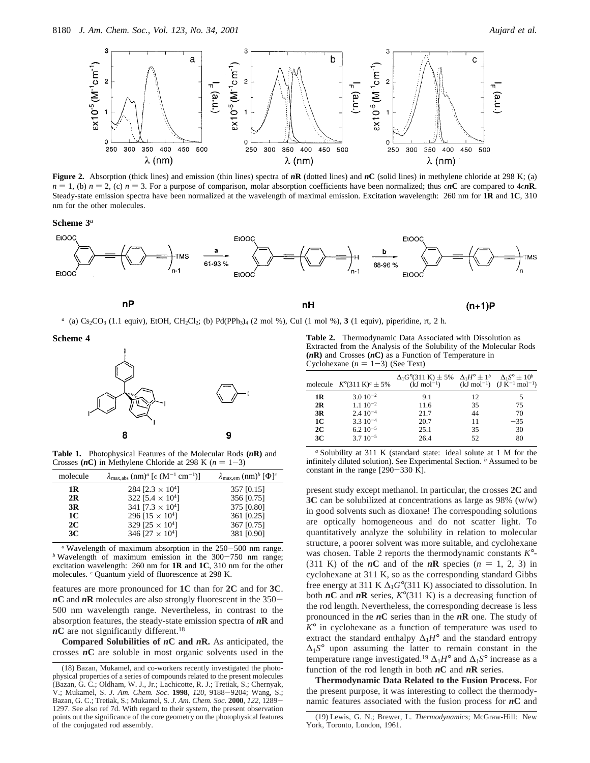

**Figure 2.** Absorption (thick lines) and emission (thin lines) spectra of  $n\mathbb{R}$  (dotted lines) and  $n\mathbb{C}$  (solid lines) in methylene chloride at 298 K; (a)  $n = 1$ , (b)  $n = 2$ , (c)  $n = 3$ . For a purpose of comparison, molar absorption coefficients have been normalized; thus  $\epsilon nC$  are compared to 4 $\epsilon nR$ . Steady-state emission spectra have been normalized at the wavelength of maximal emission. Excitation wavelength: 260 nm for **1R** and **1C**, 310 nm for the other molecules.





*a* (a) Cs<sub>2</sub>CO<sub>3</sub> (1.1 equiv), EtOH, CH<sub>2</sub>Cl<sub>2</sub>; (b) Pd(PPh<sub>3</sub>)<sub>4</sub> (2 mol %), CuI (1 mol %), **3** (1 equiv), piperidine, rt, 2 h.

**Scheme 4**



**Table 1.** Photophysical Features of the Molecular Rods **(***n***R)** and Crosses  $(nC)$  in Methylene Chloride at 298 K  $(n = 1-3)$ 

| molecule | $\lambda_{\text{max.abs}}$ (nm) <sup>a</sup> [ $\epsilon$ (M <sup>-1</sup> cm <sup>-1</sup> )] | $\lambda_{\max,em}$ (nm) <sup>b</sup> [ $\Phi$ ] <sup>c</sup> |
|----------|------------------------------------------------------------------------------------------------|---------------------------------------------------------------|
| 1R       | 284 $[2.3 \times 10^4]$                                                                        | 357 [0.15]                                                    |
| 2R       | 322 [5.4 $\times$ 10 <sup>4</sup> ]                                                            | 356 [0.75]                                                    |
| 3R       | 341 [7.3 $\times$ 10 <sup>4</sup> ]                                                            | 375 [0.80]                                                    |
| 1C       | 296 [15 $\times$ 10 <sup>4</sup> ]                                                             | 361 [0.25]                                                    |
| 2C       | 329 [25 $\times$ 10 <sup>4</sup> ]                                                             | 367 [0.75]                                                    |
| 3C       | 346 [27 $\times$ 10 <sup>4</sup> ]                                                             | 381 [0.90]                                                    |

*<sup>a</sup>* Wavelength of maximum absorption in the 250-500 nm range. *<sup>b</sup>* Wavelength of maximum emission in the 300-750 nm range; excitation wavelength: 260 nm for **1R** and **1C**, 310 nm for the other molecules. *<sup>c</sup>* Quantum yield of fluorescence at 298 K.

features are more pronounced for **1C** than for **2C** and for **3C**. *<sup>n</sup>***<sup>C</sup>** and *<sup>n</sup>***<sup>R</sup>** molecules are also strongly fluorescent in the 350- 500 nm wavelength range. Nevertheless, in contrast to the absorption features, the steady-state emission spectra of *n***R** and *n***C** are not significantly different.18

**Compared Solubilities of** *n***C and** *n***R.** As anticipated, the crosses *n***C** are soluble in most organic solvents used in the

**Table 2.** Thermodynamic Data Associated with Dissolution as Extracted from the Analysis of the Solubility of the Molecular Rods **(***n***R)** and Crosses **(***n***C)** as a Function of Temperature in Cyclohexane  $(n = 1-3)$  (See Text)

| $\sigma$ , $\sigma$ , $\sigma$ , $\sigma$ , $\sigma$ , $\sigma$ , $\sigma$ , $\sigma$ , $\sigma$ , $\sigma$ , $\sigma$ , $\sigma$ , $\sigma$ , $\sigma$ , $\sigma$ , $\sigma$ , $\sigma$ , $\sigma$ , $\sigma$ , $\sigma$ , $\sigma$ , $\sigma$ , $\sigma$ , $\sigma$ , $\sigma$ , $\sigma$ , $\sigma$ , $\sigma$ , $\sigma$ , $\sigma$ , $\sigma$ , $\sigma$ , $\sigma$ , $\sigma$ , $\sigma$ , $\sigma$ , $\sigma$ , |  |  |  |  |  |  |
|------------------------------------------------------------------------------------------------------------------------------------------------------------------------------------------------------------------------------------------------------------------------------------------------------------------------------------------------------------------------------------------------------------------------|--|--|--|--|--|--|
| $\Delta_1 S^{\circ} \pm 10^b$<br>$(kJ \text{ mol}^{-1})$ $(J K^{-1} \text{ mol}^{-1})$                                                                                                                                                                                                                                                                                                                                 |  |  |  |  |  |  |
| 5                                                                                                                                                                                                                                                                                                                                                                                                                      |  |  |  |  |  |  |
| 75                                                                                                                                                                                                                                                                                                                                                                                                                     |  |  |  |  |  |  |
| 70                                                                                                                                                                                                                                                                                                                                                                                                                     |  |  |  |  |  |  |
| $-35$                                                                                                                                                                                                                                                                                                                                                                                                                  |  |  |  |  |  |  |
| 30                                                                                                                                                                                                                                                                                                                                                                                                                     |  |  |  |  |  |  |
| 80                                                                                                                                                                                                                                                                                                                                                                                                                     |  |  |  |  |  |  |
|                                                                                                                                                                                                                                                                                                                                                                                                                        |  |  |  |  |  |  |

*<sup>a</sup>* Solubility at 311 K (standard state: ideal solute at 1 M for the infinitely diluted solution). See Experimental Section. *<sup>b</sup>* Assumed to be constant in the range  $[290-330 \text{ K}]$ .

present study except methanol. In particular, the crosses **2C** and **3C** can be solubilized at concentrations as large as 98% (w/w) in good solvents such as dioxane! The corresponding solutions are optically homogeneous and do not scatter light. To quantitatively analyze the solubility in relation to molecular structure, a poorer solvent was more suitable, and cyclohexane was chosen. Table 2 reports the thermodynamic constants *K*°- (311 K) of the  $nC$  and of the  $nR$  species ( $n = 1, 2, 3$ ) in cyclohexane at 311 K, so as the corresponding standard Gibbs free energy at 311 K  $\Delta_1 G^{\circ}$ (311 K) associated to dissolution. In both  $nC$  and  $nR$  series,  $K^{\circ}(311 \text{ K})$  is a decreasing function of the rod length. Nevertheless, the corresponding decrease is less pronounced in the *n***C** series than in the *n***R** one. The study of *K*° in cyclohexane as a function of temperature was used to extract the standard enthalpy  $\Delta_1 H^{\circ}$  and the standard entropy ∆1*S*° upon assuming the latter to remain constant in the temperature range investigated.<sup>19</sup>  $\Delta_1 H^{\circ}$  and  $\Delta_1 S^{\circ}$  increase as a function of the rod length in both  $nC$  and  $nR$  series.

**Thermodynamic Data Related to the Fusion Process.** For the present purpose, it was interesting to collect the thermodynamic features associated with the fusion process for *n***C** and

<sup>(18)</sup> Bazan, Mukamel, and co-workers recently investigated the photophysical properties of a series of compounds related to the present molecules (Bazan, G. C.; Oldham, W. J., Jr.; Lachicotte, R. J.; Tretiak, S.; Chernyak, V.; Mukamel, S. *J. Am. Chem. Soc*. **<sup>1998</sup>**, *<sup>120</sup>*, 9188-9204; Wang, S.; Bazan, G. C.; Tretiak, S.; Mukamel, S. *J. Am. Chem. Soc*. **<sup>2000</sup>**, *<sup>122</sup>*, 1289- 1297. See also ref 7d. With regard to their system, the present observation points out the significance of the core geometry on the photophysical features of the conjugated rod assembly.

<sup>(19)</sup> Lewis, G. N.; Brewer, L. *Thermodynamics*; McGraw-Hill: New York, Toronto, London, 1961.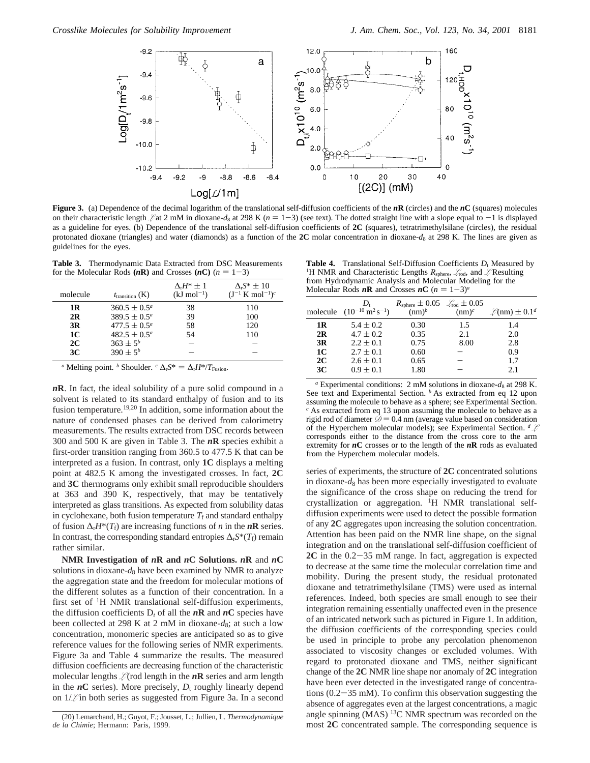

**Figure 3.** (a) Dependence of the decimal logarithm of the translational self-diffusion coefficients of the  $n\mathbf{R}$  (circles) and the  $n\mathbf{C}$  (squares) molecules on their characteristic length  $\chi$  at 2 mM in dioxane-*d*<sub>8</sub> at 298 K ( $n = 1-3$ ) (see text). The dotted straight line with a slope equal to -1 is displayed as a guideline for eyes. (b) Dependence of the translational self-diffusion coefficients of **2C** (squares), tetratrimethylsilane (circles), the residual protonated dioxane (triangles) and water (diamonds) as a function of the **2C** molar concentration in dioxane-*d*<sup>8</sup> at 298 K. The lines are given as guidelines for the eyes.

**Table 3.** Thermodynamic Data Extracted from DSC Measurements for the Molecular Rods  $(nR)$  and Crosses  $(nC)$   $(n = 1-3)$ 

| molecule | $t_{\text{transition}}$ (K) | $\Delta_r H^* \pm 1$<br>$(kJ \text{ mol}^{-1})$ | $\Delta_r S^* \pm 10$<br>$(J^{-1} K \text{ mol}^{-1})^c$ |
|----------|-----------------------------|-------------------------------------------------|----------------------------------------------------------|
| 1R       | $360.5 \pm 0.5^{\circ}$     | 38                                              | 110                                                      |
| 2R       | $389.5 \pm 0.5^{\circ}$     | 39                                              | 100                                                      |
| 3R       | $477.5 \pm 0.5^{\circ}$     | 58                                              | 120                                                      |
| 1C       | $482.5 \pm 0.5^a$           | 54                                              | 110                                                      |
| 2C       | $363 \pm 5^{b}$             |                                                 |                                                          |
| 3C       | $390 \pm 5^b$               |                                                 |                                                          |

*a* Melting point. *b* Shoulder. *c*  $\Delta_r S^* = \Delta_r H^*/T_{Fusion}$ .

*n***R**. In fact, the ideal solubility of a pure solid compound in a solvent is related to its standard enthalpy of fusion and to its fusion temperature.19,20 In addition, some information about the nature of condensed phases can be derived from calorimetry measurements. The results extracted from DSC records between 300 and 500 K are given in Table 3. The *n***R** species exhibit a first-order transition ranging from 360.5 to 477.5 K that can be interpreted as a fusion. In contrast, only **1C** displays a melting point at 482.5 K among the investigated crosses. In fact, **2C** and **3C** thermograms only exhibit small reproducible shoulders at 363 and 390 K, respectively, that may be tentatively interpreted as glass transitions. As expected from solubility datas in cyclohexane, both fusion temperature  $T_f$  and standard enthalpy of fusion  $\Delta_r H^*(T_f)$  are increasing functions of *n* in the *n***R** series. In contrast, the corresponding standard entropies  $\Delta_r S^*(T_f)$  remain rather similar.

**NMR Investigation of** *n***R and** *n***C Solutions.** *n***R** and *n***C** solutions in dioxane- $d_8$  have been examined by NMR to analyze the aggregation state and the freedom for molecular motions of the different solutes as a function of their concentration. In a first set of <sup>1</sup>H NMR translational self-diffusion experiments, the diffusion coefficients  $D_t$  of all the  $n\mathbf{R}$  and  $n\mathbf{C}$  species have been collected at 298 K at 2 mM in dioxane- $d_8$ ; at such a low concentration, monomeric species are anticipated so as to give reference values for the following series of NMR experiments. Figure 3a and Table 4 summarize the results. The measured diffusion coefficients are decreasing function of the characteristic molecular lengths  $\mathcal{L}$  (rod length in the  $n\mathbf{R}$  series and arm length in the  $nC$  series). More precisely,  $D_t$  roughly linearly depend on 1/*L* in both series as suggested from Figure 3a. In a second

**Table 4.** Translational Self-Diffusion Coefficients  $D_t$  Measured by <sup>1</sup>H NMR and Characteristic Lengths  $R_{\text{sphere}}$ ,  $\mathcal{L}_{\text{rod}}$ , and  $\mathcal{L}$  Resulting from Hydrodynamic Analysis and Molecular Modeling for the Molecular Rods  $nR$  and Crosses  $nC$   $(n = 1-3)^{a}$ 

|    | D,<br>molecule $(10^{-10} \text{ m}^2 \text{ s}^{-1})$ | $R_{\text{sphere}} \pm 0.05$ $\mathcal{L}_{\text{rod}} \pm 0.05$<br>$(nm)^b$ | $(nm)^c$ | $\mathcal{L}(nm) \pm 0.1^d$ |
|----|--------------------------------------------------------|------------------------------------------------------------------------------|----------|-----------------------------|
| 1R | $5.4 \pm 0.2$                                          | 0.30                                                                         | 1.5      | 1.4                         |
| 2R | $4.7 \pm 0.2$                                          | 0.35                                                                         | 2.1      | 2.0                         |
| 3R | $2.2 \pm 0.1$                                          | 0.75                                                                         | 8.00     | 2.8                         |
| 1C | $2.7 \pm 0.1$                                          | 0.60                                                                         |          | 0.9                         |
| 2C | $2.6 \pm 0.1$                                          | 0.65                                                                         |          | 1.7                         |
| 3C | $0.9 \pm 0.1$                                          | 1.80                                                                         |          | 2.1                         |
|    |                                                        |                                                                              |          |                             |

 $a$  Experimental conditions: 2 mM solutions in dioxane- $d_8$  at 298 K. See text and Experimental Section. <sup>*b*</sup> As extracted from eq 12 upon assuming the molecule to behave as a sphere; see Experimental Section. *<sup>c</sup>* As extracted from eq 13 upon assuming the molecule to behave as a rigid rod of diameter  $\mathcal{D} = 0.4$  nm (average value based on consideration of the Hyperchem molecular models); see Experimental Section. *<sup>d</sup> L* corresponds either to the distance from the cross core to the arm extremity for *n***C** crosses or to the length of the *n***R** rods as evaluated from the Hyperchem molecular models.

series of experiments, the structure of **2C** concentrated solutions in dioxane- $d_8$  has been more especially investigated to evaluate the significance of the cross shape on reducing the trend for crystallization or aggregation. <sup>1</sup>H NMR translational selfdiffusion experiments were used to detect the possible formation of any **2C** aggregates upon increasing the solution concentration. Attention has been paid on the NMR line shape, on the signal integration and on the translational self-diffusion coefficient of **2C** in the 0.2-35 mM range. In fact, aggregation is expected to decrease at the same time the molecular correlation time and mobility. During the present study, the residual protonated dioxane and tetratrimethylsilane (TMS) were used as internal references. Indeed, both species are small enough to see their integration remaining essentially unaffected even in the presence of an intricated network such as pictured in Figure 1. In addition, the diffusion coefficients of the corresponding species could be used in principle to probe any percolation phenomenon associated to viscosity changes or excluded volumes. With regard to protonated dioxane and TMS, neither significant change of the **2C** NMR line shape nor anomaly of **2C** integration have been ever detected in the investigated range of concentrations  $(0.2-35 \text{ mM})$ . To confirm this observation suggesting the absence of aggregates even at the largest concentrations, a magic angle spinning  $(MAS)$  <sup>13</sup>C NMR spectrum was recorded on the most **2C** concentrated sample. The corresponding sequence is

<sup>(20)</sup> Lemarchand, H.; Guyot, F.; Jousset, L.; Jullien, L. *Thermodynamique de la Chimie*; Hermann: Paris, 1999.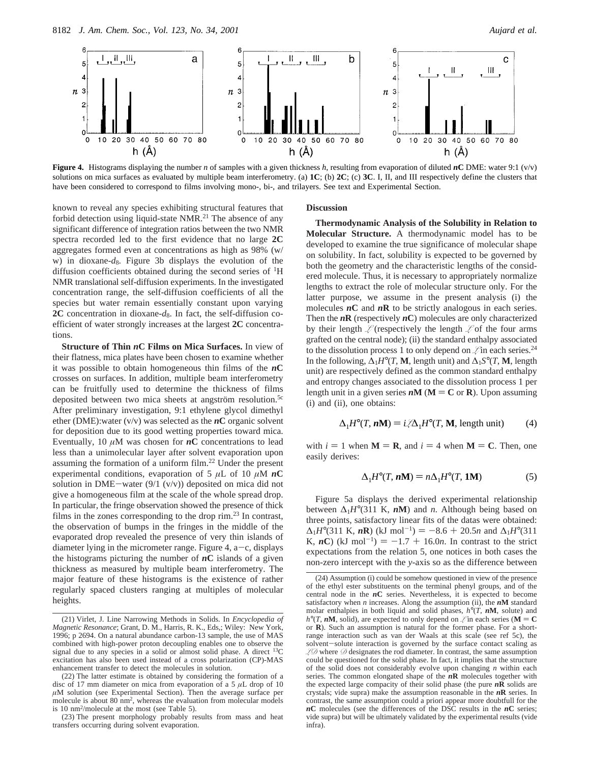

**Figure 4.** Histograms displaying the number *n* of samples with a given thickness *h*, resulting from evaporation of diluted *n***C** DME: water 9:1 (v/v) solutions on mica surfaces as evaluated by multiple beam interferometry. (a)  $1C$ ; (b)  $2C$ ; (c)  $3C$ . I, II, and III respectively define the clusters that have been considered to correspond to films involving mono-, bi-, and trilayers. See text and Experimental Section.

known to reveal any species exhibiting structural features that forbid detection using liquid-state NMR.<sup>21</sup> The absence of any significant difference of integration ratios between the two NMR spectra recorded led to the first evidence that no large **2C** aggregates formed even at concentrations as high as 98% (w/ w) in dioxane-*d*8. Figure 3b displays the evolution of the diffusion coefficients obtained during the second series of  ${}^{1}H$ NMR translational self-diffusion experiments. In the investigated concentration range, the self-diffusion coefficients of all the species but water remain essentially constant upon varying **2C** concentration in dioxane- $d_8$ . In fact, the self-diffusion coefficient of water strongly increases at the largest **2C** concentrations.

**Structure of Thin** *n***C Films on Mica Surfaces.** In view of their flatness, mica plates have been chosen to examine whether it was possible to obtain homogeneous thin films of the *n***C** crosses on surfaces. In addition, multiple beam interferometry can be fruitfully used to determine the thickness of films deposited between two mica sheets at angström resolution.<sup>5c</sup> After preliminary investigation, 9:1 ethylene glycol dimethyl ether (DME):water (v/v) was selected as the *n***C** organic solvent for deposition due to its good wetting properties toward mica. Eventually, 10  $\mu$ M was chosen for  $nC$  concentrations to lead less than a unimolecular layer after solvent evaporation upon assuming the formation of a uniform film.22 Under the present experimental conditions, evaporation of 5  $\mu$ L of 10  $\mu$ M *n***C** solution in DME-water  $(9/1 (v/v))$  deposited on mica did not give a homogeneous film at the scale of the whole spread drop. In particular, the fringe observation showed the presence of thick films in the zones corresponding to the drop rim.<sup>23</sup> In contrast, the observation of bumps in the fringes in the middle of the evaporated drop revealed the presence of very thin islands of diameter lying in the micrometer range. Figure 4,  $a-c$ , displays the histograms picturing the number of  $nC$  islands of a given thickness as measured by multiple beam interferometry. The major feature of these histograms is the existence of rather regularly spaced clusters ranging at multiples of molecular heights.

#### **Discussion**

**Thermodynamic Analysis of the Solubility in Relation to Molecular Structure.** A thermodynamic model has to be developed to examine the true significance of molecular shape on solubility. In fact, solubility is expected to be governed by both the geometry and the characteristic lengths of the considered molecule. Thus, it is necessary to appropriately normalize lengths to extract the role of molecular structure only. For the latter purpose, we assume in the present analysis (i) the molecules *n***C** and *n***R** to be strictly analogous in each series. Then the  $n\mathbf{R}$  (respectively  $n\mathbf{C}$ ) molecules are only characterized by their length *L* (respectively the length *L* of the four arms grafted on the central node); (ii) the standard enthalpy associated to the dissolution process 1 to only depend on  $\mathcal{L}$  in each series.<sup>24</sup> In the following,  $\Delta_1 H^{\circ}(T, M)$ , length unit) and  $\Delta_1 S^{\circ}(T, M)$ , length unit) are respectively defined as the common standard enthalpy and entropy changes associated to the dissolution process 1 per length unit in a given series  $nM$  ( $M = C$  or **R**). Upon assuming (i) and (ii), one obtains:

$$
\Delta_1 H^{\circ}(T, n\mathbf{M}) = i\mathcal{L}\Delta_1 H^{\circ}(T, \mathbf{M}, \text{length unit})
$$
 (4)

with  $i = 1$  when  $M = R$ , and  $i = 4$  when  $M = C$ . Then, one easily derives:

$$
\Delta_1 H^{\circ}(T, n\mathbf{M}) = n\Delta_1 H^{\circ}(T, \mathbf{1M})
$$
 (5)

Figure 5a displays the derived experimental relationship between  $\Delta_1 H^{\circ}(311 \text{ K}, n\text{M})$  and *n*. Although being based on three points, satisfactory linear fits of the datas were obtained:  $\Delta_1 H^{\circ}(311 \text{ K}, n\text{R})$  (kJ mol<sup>-1</sup>) = -8.6 + 20.5*n* and  $\Delta_1 H^{\circ}(311$ K,  $nC$ ) (kJ mol<sup>-1</sup>) = -1.7 + 16.0*n*. In contrast to the strict expectations from the relation 5, one notices in both cases the non-zero intercept with the *y*-axis so as the difference between

<sup>(21)</sup> Virlet, J. Line Narrowing Methods in Solids. In *Encyclopedia of Magnetic Resonance*; Grant, D. M., Harris, R. K., Eds,; Wiley: New York, 1996; p 2694. On a natural abundance carbon-13 sample, the use of MAS combined with high-power proton decoupling enables one to observe the signal due to any species in a solid or almost solid phase. A direct 13C excitation has also been used instead of a cross polarization (CP)-MAS enhancement transfer to detect the molecules in solution.

<sup>(22)</sup> The latter estimate is obtained by considering the formation of a disc of 17 mm diameter on mica from evaporation of a 5 *µ*L drop of 10 *µ*M solution (see Experimental Section). Then the average surface per molecule is about 80 nm<sup>2</sup>, whereas the evaluation from molecular models is 10 nm2/molecule at the most (see Table 5).

<sup>(23)</sup> The present morphology probably results from mass and heat transfers occurring during solvent evaporation.

<sup>(24)</sup> Assumption (i) could be somehow questioned in view of the presence of the ethyl ester substituents on the terminal phenyl groups, and of the central node in the  $nC$  series. Nevertheless, it is expected to become satisfactory when *n* increases. Along the assumption (ii), the  $nM$  standard molar enthalpies in both liquid and solid phases, *h*°(*T*, *n***M**, solute) and  $h^{\circ}(T, nM, \text{ solid})$ , are expected to only depend on  $\mathcal{L}$  in each series (**M** = **C** or **R**). Such an assumption is natural for the former phase. For a shortrange interaction such as van der Waals at this scale (see ref 5c), the solvent-solute interaction is governed by the surface contact scaling as *LD* where *D* designates the rod diameter. In contrast, the same assumption could be questioned for the solid phase. In fact, it implies that the structure of the solid does not considerably evolve upon changing *n* within each series. The common elongated shape of the *n***R** molecules together with the expected large compacity of their solid phase (the pure *n***R** solids are crystals; vide supra) make the assumption reasonable in the *n***R** series. In contrast, the same assumption could a priori appear more doubtfull for the  $nC$  molecules (see the differences of the DSC results in the  $nC$  series; vide supra) but will be ultimately validated by the experimental results (vide infra).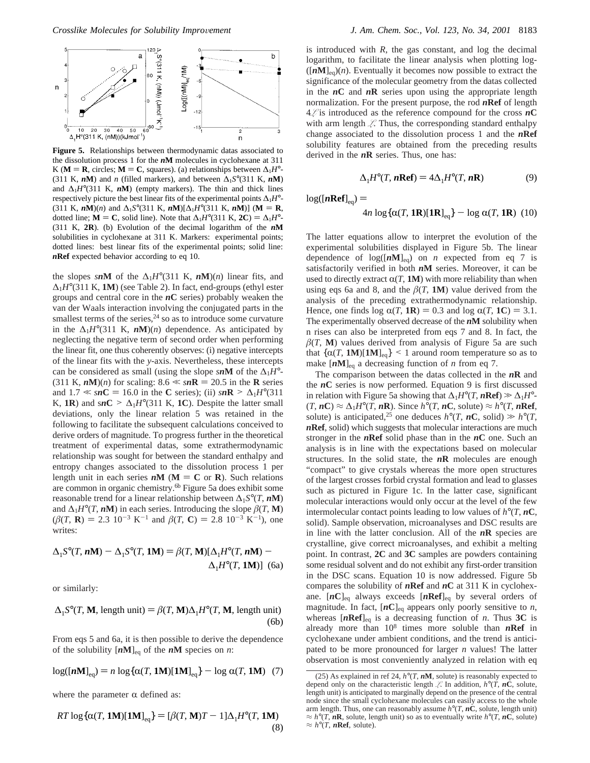

**Figure 5.** Relationships between thermodynamic datas associated to the dissolution process 1 for the *n***M** molecules in cyclohexane at 311 K ( $M = R$ , circles;  $M = C$ , squares). (a) relationships between  $\Delta_1 H^{\circ}$ -(311 K,  $nM$ ) and *n* (filled markers), and between  $\Delta_1 S^\circ(311 \text{ K}, nM)$ and  $\Delta_1 H^{\circ}(311 \text{ K}, n\text{M})$  (empty markers). The thin and thick lines respectively picture the best linear fits of the experimental points  $\Delta_1 H^{\circ}$ - $(311 \text{ K}, n\text{M})(n)$  and  $\Delta_1 S^{\circ}(311 \text{ K}, n\text{M})[\Delta_1 H^{\circ}(311 \text{ K}, n\text{M})]$  (M = R, dotted line; **M** = **C**, solid line). Note that  $\Delta_1 H^{\circ}(311 \text{ K}, 2\text{C}) = \Delta_1 H^{\circ}$ -(311 K, **2R**). (b) Evolution of the decimal logarithm of the *n***M** solubilities in cyclohexane at 311 K. Markers: experimental points; dotted lines: best linear fits of the experimental points; solid line: *n***Ref** expected behavior according to eq 10.

the slopes *sn***M** of the  $\Delta_1 H^{\circ}(311 \text{ K}, n\text{M})(n)$  linear fits, and ∆1*H*°(311 K, **1M**) (see Table 2). In fact, end-groups (ethyl ester groups and central core in the *n***C** series) probably weaken the van der Waals interaction involving the conjugated parts in the smallest terms of the series, $24$  so as to introduce some curvature in the  $\Delta_1 H^{\circ}(311 \text{ K}, n\text{M})(n)$  dependence. As anticipated by neglecting the negative term of second order when performing the linear fit, one thus coherently observes: (i) negative intercepts of the linear fits with the *y*-axis. Nevertheless, these intercepts can be considered as small (using the slope  $s\mathbf{n}\mathbf{M}$  of the  $\Delta_1H^\circ$ -(311 K,  $nM(n)$  for scaling:  $8.6 \ll snR = 20.5$  in the **R** series and  $1.7 \ll snC = 16.0$  in the C series); (ii)  $snR > \Delta_1 H^{\circ}(311)$ K, **1R**) and snC >  $\Delta_1 H^{\circ}(311 \text{ K}, 1\text{C})$ . Despite the latter small deviations, only the linear relation 5 was retained in the following to facilitate the subsequent calculations conceived to derive orders of magnitude. To progress further in the theoretical treatment of experimental datas, some extrathermodynamic relationship was sought for between the standard enthalpy and entropy changes associated to the dissolution process 1 per length unit in each series  $nM$  ( $M = C$  or **R**). Such relations are common in organic chemistry.6b Figure 5a does exhibit some reasonable trend for a linear relationship between  $\Delta_1 S^\circ(T, nM)$ and  $\Delta_1 H^{\circ}(T, n\mathbf{M})$  in each series. Introducing the slope  $\beta(T, \mathbf{M})$  $(\beta(T, \mathbf{R}) = 2.3 \cdot 10^{-3} \text{ K}^{-1}$  and  $\beta(T, \mathbf{C}) = 2.8 \cdot 10^{-3} \text{ K}^{-1}$ , one writes:

$$
\Delta_1 S^\circ(T, n\mathbf{M}) - \Delta_1 S^\circ(T, 1\mathbf{M}) = \beta(T, \mathbf{M}) [\Delta_1 H^\circ(T, n\mathbf{M}) - \Delta_1 H^\circ(T, 1\mathbf{M})]
$$
(6a)

or similarly:

$$
\Delta_1 S^\circ(T, \mathbf{M}, \text{length unit}) = \beta(T, \mathbf{M}) \Delta_1 H^\circ(T, \mathbf{M}, \text{length unit})
$$
\n(6b)

From eqs 5 and 6a, it is then possible to derive the dependence of the solubility  $[nM]_{eq}$  of the  $nM$  species on  $n$ :

$$
\log([\mathbf{n}\mathbf{M}]_{\text{eq}}) = n \log{\{\alpha(T, \mathbf{1}\mathbf{M})[\mathbf{1}\mathbf{M}]_{\text{eq}}\}} - \log{\alpha(T, \mathbf{1}\mathbf{M})} \tag{7}
$$

where the parameter  $\alpha$  defined as:

$$
RT \log{\{\alpha(T, \mathbf{1M})[\mathbf{1M}]_{\text{eq}}\}} = [\beta(T, \mathbf{M})T - 1]\Delta_1 H^{\circ}(T, \mathbf{1M})
$$
\n(8)

is introduced with *R*, the gas constant, and log the decimal logarithm, to facilitate the linear analysis when plotting log-  $(\lceil nM \rceil_{eq})(n)$ . Eventually it becomes now possible to extract the significance of the molecular geometry from the datas collected in the  $nC$  and  $nR$  series upon using the appropriate length normalization. For the present purpose, the rod *n***Ref** of length  $4\ell$  is introduced as the reference compound for the cross  $nC$ with arm length  $\mathcal{L}$ . Thus, the corresponding standard enthalpy change associated to the dissolution process 1 and the *n***Ref** solubility features are obtained from the preceding results derived in the *n***R** series. Thus, one has:

$$
\Delta_1 H^{\circ}(T, n\mathbf{Ref}) = 4\Delta_1 H^{\circ}(T, n\mathbf{R})
$$
\n(9)

 $log([nRef]_{eq}) =$ 

$$
4n \log\{\alpha(T, \mathbf{1R})[\mathbf{1R}]_{\text{eq}}\} - \log \alpha(T, \mathbf{1R}) \tag{10}
$$

The latter equations allow to interpret the evolution of the experimental solubilities displayed in Figure 5b. The linear dependence of  $log([nM]_{eq})$  on *n* expected from eq 7 is satisfactorily verified in both *n***M** series. Moreover, it can be used to directly extract  $\alpha(T, 1M)$  with more reliability than when using eqs 6a and 8, and the  $\beta(T, \mathbf{1M})$  value derived from the analysis of the preceding extrathermodynamic relationship. Hence, one finds  $\log \alpha(T, 1\mathbf{R}) = 0.3$  and  $\log \alpha(T, 1\mathbf{C}) = 3.1$ . The experimentally observed decrease of the *n***M** solubility when n rises can also be interpreted from eqs 7 and 8. In fact, the  $\beta(T, M)$  values derived from analysis of Figure 5a are such that  $\{\alpha(T, 1M)[1M]_{eq}\}$  < 1 around room temperature so as to make  $[nM]_{eq}$  a decreasing function of *n* from eq 7.

The comparison between the datas collected in the *n***R** and the  $nC$  series is now performed. Equation 9 is first discussed in relation with Figure 5a showing that  $\Delta_1 H^{\circ}(T, n\text{Ref}) \gg \Delta_1 H^{\circ}$ - $(T, n\mathbb{C}) \approx \Delta_1 H^{\circ}(T, n\mathbb{R})$ . Since  $h^{\circ}(T, n\mathbb{C})$ , solute)  $\approx h^{\circ}(T, n\mathbb{R})$ . solute) is anticipated,<sup>25</sup> one deduces  $h^{\circ}(T, n\mathbb{C})$ , solid)  $\gg h^{\circ}(T, n\mathbb{C})$ *n***Ref**, solid) which suggests that molecular interactions are much stronger in the *n***Ref** solid phase than in the  $n$ **C** one. Such an analysis is in line with the expectations based on molecular structures. In the solid state, the  $nR$  molecules are enough "compact" to give crystals whereas the more open structures of the largest crosses forbid crystal formation and lead to glasses such as pictured in Figure 1c. In the latter case, significant molecular interactions would only occur at the level of the few intermolecular contact points leading to low values of  $h^{\circ}(T, n\mathbb{C})$ , solid). Sample observation, microanalyses and DSC results are in line with the latter conclusion. All of the  $n\mathbf{R}$  species are crystalline, give correct microanalyses, and exhibit a melting point. In contrast, **2C** and **3C** samples are powders containing some residual solvent and do not exhibit any first-order transition in the DSC scans. Equation 10 is now addressed. Figure 5b compares the solubility of *n***Ref** and *n***C** at 311 K in cyclohexane.  $[nC]_{eq}$  always exceeds  $[nRef]_{eq}$  by several orders of magnitude. In fact,  $[nC]_{eq}$  appears only poorly sensitive to *n*, whereas  $[nRef]_{eq}$  is a decreasing function of *n*. Thus **3C** is already more than  $10^8$  times more soluble than  $n$ **Ref** in cyclohexane under ambient conditions, and the trend is anticipated to be more pronounced for larger *n* values! The latter observation is most conveniently analyzed in relation with eq

<sup>(25)</sup> As explained in ref 24,  $h^{\circ}(T, nM, \text{ solute})$  is reasonably expected to depend only on the characteristic length  $\mathcal{L}$ . In addition,  $h^{\circ}(T, n\hat{C})$ , solute, length unit) is anticipated to marginally depend on the presence of the central node since the small cyclohexane molecules can easily access to the whole arm length. Thus, one can reasonably assume  $h^{\circ}(T, n\tilde{C})$ , solute, length unit)  $\approx h^{\circ}(T, n\mathbf{R})$ , solute, length unit) so as to eventually write  $h^{\circ}(T, n\mathbf{C})$ , solute)  $\approx h^{\circ}(T, n\text{Ref}, \text{solute}).$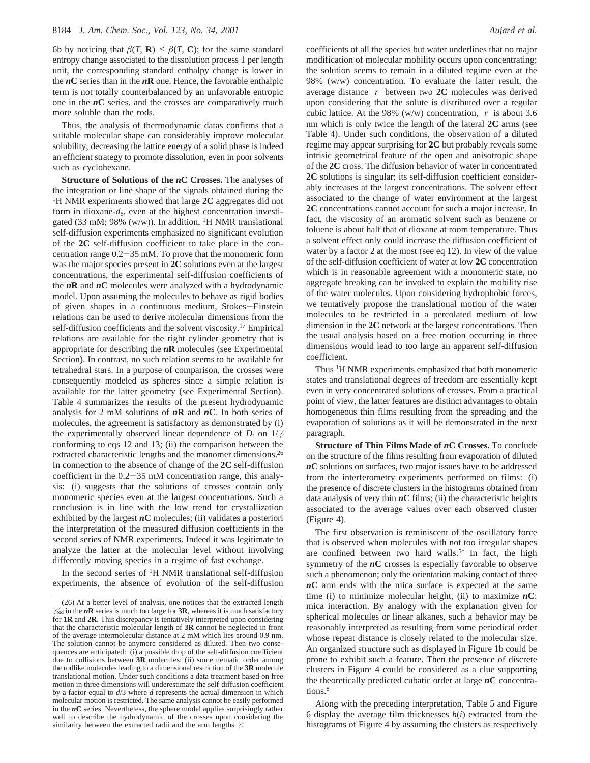6b by noticing that  $\beta(T, \mathbf{R}) \leq \beta(T, \mathbf{C})$ ; for the same standard entropy change associated to the dissolution process 1 per length unit, the corresponding standard enthalpy change is lower in the  $nC$  series than in the  $nR$  one. Hence, the favorable enthalpic term is not totally counterbalanced by an unfavorable entropic one in the *n***C** series, and the crosses are comparatively much more soluble than the rods.

Thus, the analysis of thermodynamic datas confirms that a suitable molecular shape can considerably improve molecular solubility; decreasing the lattice energy of a solid phase is indeed an efficient strategy to promote dissolution, even in poor solvents such as cyclohexane.

**Structure of Solutions of the** *n***C Crosses.** The analyses of the integration or line shape of the signals obtained during the 1H NMR experiments showed that large **2C** aggregates did not form in dioxane-*d*8, even at the highest concentration investigated (33 mM; 98% (w/w)). In addition, <sup>1</sup>H NMR translational self-diffusion experiments emphasized no significant evolution of the **2C** self-diffusion coefficient to take place in the concentration range 0.2-35 mM. To prove that the monomeric form was the major species present in **2C** solutions even at the largest concentrations, the experimental self-diffusion coefficients of the *n***R** and *n***C** molecules were analyzed with a hydrodynamic model. Upon assuming the molecules to behave as rigid bodies of given shapes in a continuous medium, Stokes-Einstein relations can be used to derive molecular dimensions from the self-diffusion coefficients and the solvent viscosity.<sup>17</sup> Empirical relations are available for the right cylinder geometry that is appropriate for describing the *n***R** molecules (see Experimental Section). In contrast, no such relation seems to be available for tetrahedral stars. In a purpose of comparison, the crosses were consequently modeled as spheres since a simple relation is available for the latter geometry (see Experimental Section). Table 4 summarizes the results of the present hydrodynamic analysis for 2 mM solutions of *n***R** and *n***C**. In both series of molecules, the agreement is satisfactory as demonstrated by (i) the experimentally observed linear dependence of  $D_t$  on  $1/\mathcal{L}$ conforming to eqs 12 and 13; (ii) the comparison between the extracted characteristic lengths and the monomer dimensions.<sup>26</sup> In connection to the absence of change of the **2C** self-diffusion coefficient in the 0.2-35 mM concentration range, this analysis: (i) suggests that the solutions of crosses contain only monomeric species even at the largest concentrations. Such a conclusion is in line with the low trend for crystallization exhibited by the largest  $nC$  molecules; (ii) validates a posteriori the interpretation of the measured diffusion coefficients in the second series of NMR experiments. Indeed it was legitimate to analyze the latter at the molecular level without involving differently moving species in a regime of fast exchange.

In the second series of 1H NMR translational self-diffusion experiments, the absence of evolution of the self-diffusion coefficients of all the species but water underlines that no major modification of molecular mobility occurs upon concentrating; the solution seems to remain in a diluted regime even at the 98% (w/w) concentration. To evaluate the latter result, the average distance  $\langle r \rangle$  between two **2C** molecules was derived upon considering that the solute is distributed over a regular cubic lattice. At the 98% (w/w) concentration,  $\langle r \rangle$  is about 3.6 nm which is only twice the length of the lateral **2C** arms (see Table 4). Under such conditions, the observation of a diluted regime may appear surprising for **2C** but probably reveals some intrisic geometrical feature of the open and anisotropic shape of the **2C** cross. The diffusion behavior of water in concentrated **2C** solutions is singular; its self-diffusion coefficient considerably increases at the largest concentrations. The solvent effect associated to the change of water environment at the largest **2C** concentrations cannot account for such a major increase. In fact, the viscosity of an aromatic solvent such as benzene or toluene is about half that of dioxane at room temperature. Thus a solvent effect only could increase the diffusion coefficient of water by a factor 2 at the most (see eq 12). In view of the value of the self-diffusion coefficient of water at low **2C** concentration which is in reasonable agreement with a monomeric state, no aggregate breaking can be invoked to explain the mobility rise of the water molecules. Upon considering hydrophobic forces, we tentatively propose the translational motion of the water molecules to be restricted in a percolated medium of low dimension in the **2C** network at the largest concentrations. Then the usual analysis based on a free motion occurring in three dimensions would lead to too large an apparent self-diffusion coefficient.

Thus 1H NMR experiments emphasized that both monomeric states and translational degrees of freedom are essentially kept even in very concentrated solutions of crosses. From a practical point of view, the latter features are distinct advantages to obtain homogeneous thin films resulting from the spreading and the evaporation of solutions as it will be demonstrated in the next paragraph.

**Structure of Thin Films Made of** *n***C Crosses.** To conclude on the structure of the films resulting from evaporation of diluted *n***C** solutions on surfaces, two major issues have to be addressed from the interferometry experiments performed on films: (i) the presence of discrete clusters in the histograms obtained from data analysis of very thin  $nC$  films; (ii) the characteristic heights associated to the average values over each observed cluster (Figure 4).

The first observation is reminiscent of the oscillatory force that is observed when molecules with not too irregular shapes are confined between two hard walls.<sup>5c</sup> In fact, the high symmetry of the *n***C** crosses is especially favorable to observe such a phenomenon; only the orientation making contact of three *n***C** arm ends with the mica surface is expected at the same time (i) to minimize molecular height, (ii) to maximize  $nC$ : mica interaction. By analogy with the explanation given for spherical molecules or linear alkanes, such a behavior may be reasonably interpreted as resulting from some periodical order whose repeat distance is closely related to the molecular size. An organized structure such as displayed in Figure 1b could be prone to exhibit such a feature. Then the presence of discrete clusters in Figure 4 could be considered as a clue supporting the theoretically predicted cubatic order at large *n***C** concentrations.<sup>8</sup>

Along with the preceding interpretation, Table 5 and Figure 6 display the average film thicknesses  $h(i)$  extracted from the histograms of Figure 4 by assuming the clusters as respectively

<sup>(26)</sup> At a better level of analysis, one notices that the extracted length  $\mathcal{L}_{\text{rod}}$  in the *n***R** series is much too large for **3R**, whereas it is much satisfactory for **1R** and **2R**. This discrepancy is tentatively interpreted upon considering that the characteristic molecular length of **3R** cannot be neglected in front of the average intermolecular distance at 2 mM which lies around 0.9 nm. The solution cannot be anymore considered as diluted. Then two consequences are anticipated: (i) a possible drop of the self-diffusion coefficient due to collisions between **3R** molecules; (ii) some nematic order among the rodlike molecules leading to a dimensional restriction of the **3R** molecule translational motion. Under such conditions a data treatment based on free motion in three dimensions will underestimate the self-diffusion coefficient by a factor equal to *d*/3 where *d* represents the actual dimension in which molecular motion is restricted. The same analysis cannot be easily performed in the *n***C** series. Nevertheless, the sphere model applies surprisingly rather well to describe the hydrodynamic of the crosses upon considering the similarity between the extracted radii and the arm lengths *L*.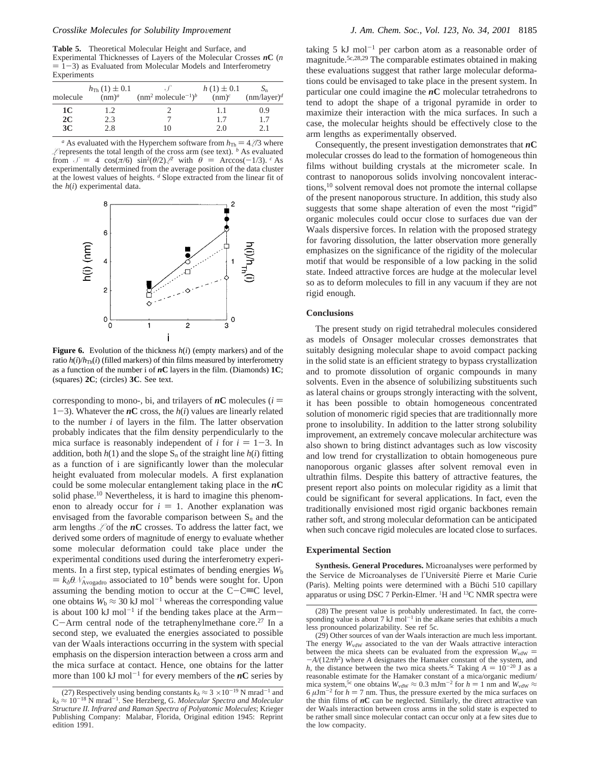**Table 5.** Theoretical Molecular Height and Surface, and Experimental Thicknesses of Layers of the Molecular Crosses *n***C** (*n*  $= 1-3$ ) as Evaluated from Molecular Models and Interferometry Experiments

| molecule | $h_{\text{Th}}(1) \pm 0.1$<br>$(nm)^a$ | $(nm^2 \text{ molecule}^{-1})^b$ | $h(1) \pm 0.1$<br>$(nm)^c$ | $(nm/layer)^d$ |  |  |  |
|----------|----------------------------------------|----------------------------------|----------------------------|----------------|--|--|--|
| 1C       | 1.2                                    |                                  | $\mathbf{L}$               | 0.9            |  |  |  |
| 2C       | 2.3                                    |                                  | 1.7                        | 1.7            |  |  |  |
| 3C       | 2.8                                    | 10                               | 2.0                        | 21             |  |  |  |

<sup>*a*</sup> As evaluated with the Hyperchem software from  $h_{\text{Th}} = 4\frac{1}{3}$  where  $\mathscr Z$  represents the total length of the cross arm (see text).  $^b$  As evaluated from  $S = 4 \cos(\pi/6) \sin^2(\theta/2)/2$  with  $\theta = \text{Arccos}(-1/3)$ . *c* As experimentally determined from the average position of the data cluster at the lowest values of heights. *<sup>d</sup>* Slope extracted from the linear fit of the *h*(*i*) experimental data.



**Figure 6.** Evolution of the thickness *h*(*i*) (empty markers) and of the ratio  $h(i)/h_{\text{Th}}(i)$  (filled markers) of thin films measured by interferometry as a function of the number i of *n***C** layers in the film. (Diamonds) **1C**; (squares) **2C**; (circles) **3C**. See text.

corresponding to mono-, bi, and trilayers of  $nC$  molecules ( $i =$ 1-3). Whatever the  $nC$  cross, the  $h(i)$  values are linearly related to the number *i* of layers in the film. The latter observation probably indicates that the film density perpendicularly to the mica surface is reasonably independent of  $i$  for  $i = 1-3$ . In addition, both  $h(1)$  and the slope  $S_n$  of the straight line  $h(i)$  fitting as a function of i are significantly lower than the molecular height evaluated from molecular models. A first explanation could be some molecular entanglement taking place in the *n***C** solid phase.<sup>10</sup> Nevertheless, it is hard to imagine this phenomenon to already occur for  $i = 1$ . Another explanation was envisaged from the favorable comparison between S*<sup>n</sup>* and the arm lengths  $\mathcal{L}$  of the *n***C** crosses. To address the latter fact, we derived some orders of magnitude of energy to evaluate whether some molecular deformation could take place under the experimental conditions used during the interferometry experiments. In a first step, typical estimates of bending energies  $W<sub>b</sub>$  $= k_{\delta} \theta \sqrt{A_{\text{Nogadro}}}$  associated to 10° bends were sought for. Upon assuming the bending motion to occur at the  $C-C\equiv C$  level, one obtains  $W_b \approx 30 \text{ kJ} \text{ mol}^{-1}$  whereas the corresponding value is about 100 kJ mol<sup>-1</sup> if the bending takes place at the Arm-C-Arm central node of the tetraphenylmethane core.<sup>27</sup> In a second step, we evaluated the energies associated to possible van der Waals interactions occurring in the system with special emphasis on the dispersion interaction between a cross arm and the mica surface at contact. Hence, one obtains for the latter more than 100 kJ mol<sup>-1</sup> for every members of the  $nC$  series by

taking  $5 \text{ kJ}$  mol<sup>-1</sup> per carbon atom as a reasonable order of magnitude.5c,28,29 The comparable estimates obtained in making these evaluations suggest that rather large molecular deformations could be envisaged to take place in the present system. In particular one could imagine the *n***C** molecular tetrahedrons to tend to adopt the shape of a trigonal pyramide in order to maximize their interaction with the mica surfaces. In such a case, the molecular heights should be effectively close to the arm lengths as experimentally observed.

Consequently, the present investigation demonstrates that  $nC$ molecular crosses do lead to the formation of homogeneous thin films without building crystals at the micrometer scale. In contrast to nanoporous solids involving noncovalent interactions,10 solvent removal does not promote the internal collapse of the present nanoporous structure. In addition, this study also suggests that some shape alteration of even the most "rigid" organic molecules could occur close to surfaces due van der Waals dispersive forces. In relation with the proposed strategy for favoring dissolution, the latter observation more generally emphasizes on the significance of the rigidity of the molecular motif that would be responsible of a low packing in the solid state. Indeed attractive forces are hudge at the molecular level so as to deform molecules to fill in any vacuum if they are not rigid enough.

## **Conclusions**

The present study on rigid tetrahedral molecules considered as models of Onsager molecular crosses demonstrates that suitably designing molecular shape to avoid compact packing in the solid state is an efficient strategy to bypass crystallization and to promote dissolution of organic compounds in many solvents. Even in the absence of solubilizing substituents such as lateral chains or groups strongly interacting with the solvent, it has been possible to obtain homogeneous concentrated solution of monomeric rigid species that are traditionnally more prone to insolubility. In addition to the latter strong solubility improvement, an extremely concave molecular architecture was also shown to bring distinct advantages such as low viscosity and low trend for crystallization to obtain homogeneous pure nanoporous organic glasses after solvent removal even in ultrathin films. Despite this battery of attractive features, the present report also points on molecular rigidity as a limit that could be significant for several applications. In fact, even the traditionally envisioned most rigid organic backbones remain rather soft, and strong molecular deformation can be anticipated when such concave rigid molecules are located close to surfaces.

#### **Experimental Section**

**Synthesis. General Procedures.** Microanalyses were performed by the Service de Microanalyses de l'Université Pierre et Marie Curie (Paris). Melting points were determined with a Büchi 510 capillary apparatus or using DSC 7 Perkin-Elmer. <sup>1</sup>H and <sup>13</sup>C NMR spectra were

<sup>(27)</sup> Respectively using bending constants  $k_\delta \approx 3 \times 10^{-19}$  N mrad<sup>-1</sup> and  $k_0 \approx 10^{-18}$  N mrad<sup>-1</sup>. See Herzberg, G. *Molecular Spectra and Molecular Structure II. Infrared and Raman Spectra of Polyatomic Molecules*; Krieger Publishing Company: Malabar, Florida, Original edition 1945: Reprint edition 1991.

<sup>(28)</sup> The present value is probably underestimated. In fact, the corresponding value is about 7 kJ mol<sup> $-1$ </sup> in the alkane series that exhibits a much less pronounced polarizability. See ref 5c.

<sup>(29)</sup> Other sources of van der Waals interaction are much less important. The energy  $W_{vdW}$  associated to the van der Waals attractive interaction between the mica sheets can be evaluated from the expression  $W_{vdW}$  =  $-A/(12\pi h^2)$  where *A* designates the Hamaker constant of the system, and *h*, the distance between the two mica sheets.<sup>5c</sup> Taking  $A = 10^{-20}$  J as a reasonable estimate for the Hamaker constant of a mica/organic medium/ mica system,<sup>5c</sup> one obtains  $W_{vdW} \approx 0.3 \text{ mJm}^{-2}$  for  $h = 1 \text{ nm}$  and  $W_{vdW} \approx$  $6 \mu \text{Jm}^{-2}$  for  $h = 7$  nm. Thus, the pressure exerted by the mica surfaces on the thin films of *n***C** can be neglected. Similarly, the direct attractive van der Waals interaction between cross arms in the solid state is expected to be rather small since molecular contact can occur only at a few sites due to the low compacity.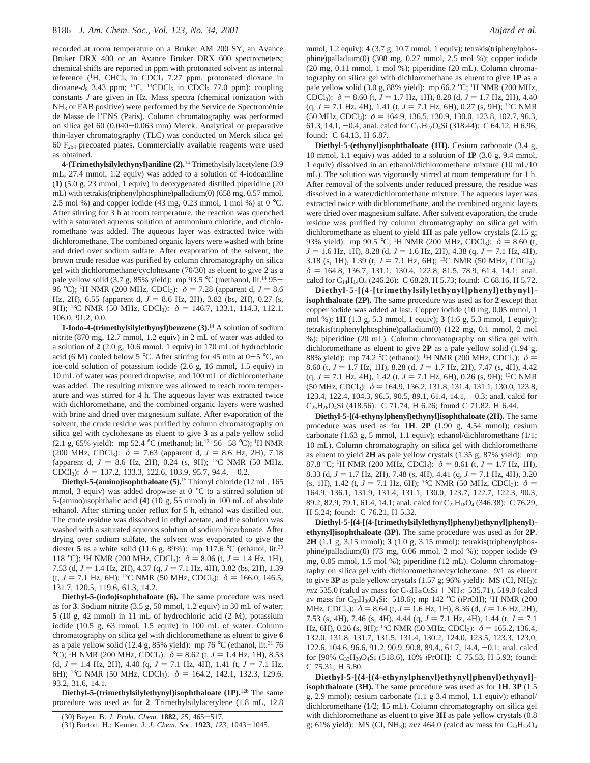recorded at room temperature on a Bruker AM 200 SY, an Avance Bruker DRX 400 or an Avance Bruker DRX 600 spectrometers; chemical shifts are reported in ppm with protonated solvent as internal reference ( ${}^{1}H$ , CHCl<sub>3</sub> in CDCl<sub>3</sub> 7.27 ppm, protonated dioxane in dioxane-*d*<sub>8</sub> 3.43 ppm; <sup>13</sup>C, <sup>13</sup>CDCl<sub>3</sub> in CDCl<sub>3</sub> 77.0 ppm); coupling constants *J* are given in Hz. Mass spectra (chemical ionization with NH<sub>3</sub> or FAB positive) were performed by the Service de Spectrométrie de Masse de l'ENS (Paris). Column chromatography was performed on silica gel 60 (0.040-0.063 mm) Merck. Analytical or preparative thin-layer chromatography (TLC) was conducted on Merck silica gel 60 F254 precoated plates. Commercially available reagents were used as obtained.

**4-(Trimethylsilylethynyl)aniline (2).**<sup>14</sup> Trimethylsilylacetylene (3.9 mL, 27.4 mmol, 1.2 equiv) was added to a solution of 4-iodoaniline (**1)** (5.0 g, 23 mmol, 1 equiv) in deoxygenated distilled piperidine (20 mL) with tetrakis(triphenylphosphine)palladium(0) (658 mg, 0.57 mmol, 2.5 mol %) and copper iodide (43 mg, 0.23 mmol, 1 mol %) at  $0^{\circ}$ C. After stirring for 3 h at room temperature, the reaction was quenched with a saturated aqueous solution of ammonium chloride, and dichloromethane was added. The aqueous layer was extracted twice with dichloromethane. The combined organic layers were washed with brine and dried over sodium sulfate. After evaporation of the solvent, the brown crude residue was purified by column chromatography on silica gel with dichloromethane/cyclohexane (70/30) as eluent to give **2** as a pale yellow solid (3.7 g, 85% yield): mp 93.5 °C (methanol, lit.<sup>14</sup> 95-96 °C); <sup>1</sup>H NMR (200 MHz, CDCl<sub>3</sub>):  $\delta = 7.28$  (apparent d, *J* = 8.6 Hz 2H) 6.55 (apparent d, *J* = 8.6 Hz 2H) 3.82 (bs 2H) 0.27 (s Hz, 2H), 6.55 (apparent d,  $J = 8.6$  Hz, 2H), 3.82 (bs, 2H), 0.27 (s, 9H); <sup>13</sup>C NMR (50 MHz, CDCl<sub>3</sub>):  $\delta = 146.7, 133.1, 114.3, 112.1,$ 106.0, 91.2, 0.0.

**1-Iodo-4-(trimethylsilylethynyl)benzene (3).**<sup>14</sup> A solution of sodium nitrite (870 mg, 12.7 mmol, 1.2 equiv) in 2 mL of water was added to a solution of **2** (2.0 g, 10.6 mmol, 1 equiv) in 170 mL of hydrochloric acid (6 M) cooled below 5 °C. After stirring for 45 min at 0-5 °C, an ice-cold solution of potassium iodide (2.6 g, 16 mmol, 1.5 equiv) in 10 mL of water was poured dropwise, and 100 mL of dichloromethane was added. The resulting mixture was allowed to reach room temperature and was stirred for 4 h. The aqueous layer was extracted twice with dichloromethane, and the combined organic layers were washed with brine and dried over magnesium sulfate. After evaporation of the solvent, the crude residue was purified by column chromatography on silica gel with cyclohexane as eluent to give **3** as a pale yellow solid (2.1 g, 65% yield): mp 52.4 °C (methanol; lit.<sup>12c</sup> 56-58 °C); <sup>1</sup>H NMR (200 MHz, CDCl<sub>3</sub>):  $\delta = 7.63$  (apparent d,  $J = 8.6$  Hz, 2H), 7.18 (apparent d,  $J = 8.6$  Hz, 2H), 0.24 (s, 9H); <sup>13</sup>C NMR (50 MHz, CDCl<sub>3</sub>):  $\delta = 137.2, 133.3, 122.6, 103.9, 95.7, 94.4, -0.2.$ 

**Diethyl-5-(amino)isophthaloate (5).**<sup>15</sup> Thionyl chloride (12 mL, 165 mmol, 3 equiv) was added dropwise at 0 °C to a stirred solution of 5-(amino)isophthalic acid (**4**) (10 g, 55 mmol) in 100 mL of absolute ethanol. After stirring under reflux for 5 h, ethanol was distilled out. The crude residue was dissolved in ethyl acetate, and the solution was washed with a saturated aqueous solution of sodium bicarbonate. After drying over sodium sulfate, the solvent was evaporated to give the diester **5** as a white solid **(**11.6 g, 89%): mp 117.6 °C (ethanol, lit.30 118 °C); <sup>1</sup>H NMR (200 MHz, CDCl<sub>3</sub>):  $\delta = 8.06$  (t,  $J = 1.4$  Hz, 1H),  $7.53$  (d,  $I = 1.4$  Hz, 2H),  $4.37$  (g,  $I = 7.1$  Hz, 4H),  $3.82$  (bs, 2H),  $1.39$ 7.53 (d,  $J = 1.4$  Hz, 2H), 4.37 (q,  $J = 7.1$  Hz, 4H), 3.82 (bs, 2H), 1.39 (t,  $J = 7.1$  Hz, 6H); <sup>13</sup>C NMR (50 MHz, CDCl<sub>3</sub>):  $\delta = 166.0, 146.5,$ 131.7, 120.5, 119.6, 61.3, 14.2.

**Diethyl-5-(iodo)isophthaloate (6).** The same procedure was used as for **3**. Sodium nitrite (3.5 g, 50 mmol, 1.2 equiv) in 30 mL of water; **5** (10 g, 42 mmol) in 11 mL of hydrochloric acid (2 M); potassium iodide (10.5 g, 63 mmol, 1.5 equiv) in 100 mL of water. Column chromatography on silica gel with dichloromethane as eluent to give **6** as a pale yellow solid (12.4 g, 85% yield): mp 76 °C (ethanol, lit.<sup>31</sup> 76 °C); <sup>1</sup>H NMR (200 MHz, CDCl<sub>3</sub>):  $\delta = 8.62$  (t,  $J = 1.4$  Hz, 1H), 8.53<br>(d,  $J = 1.4$  Hz, 2H), 4.40 (q,  $J = 7.1$  Hz, 4H), 1.41 (t,  $J = 7.1$  Hz (d,  $J = 1.4$  Hz, 2H), 4.40 (q,  $J = 7.1$  Hz, 4H), 1.41 (t,  $J = 7.1$  Hz, 6H); <sup>13</sup>C NMR (50 MHz, CDCl<sub>3</sub>):  $\delta = 164.2, 142.1, 132.3, 129.6,$ 93.2, 31.6, 14.1.

**Diethyl-5-(trimethylsilylethynyl)isophthaloate (1P).**12b The same procedure was used as for **2**. Trimethylsilylacetylene (1.8 mL, 12.8 mmol, 1.2 equiv); **4** (3.7 g, 10.7 mmol, 1 equiv); tetrakis(triphenylphosphine)palladium(0) (308 mg, 0.27 mmol, 2.5 mol %); copper iodide (20 mg, 0.11 mmol, 1 mol %); piperidine (20 mL). Column chromatography on silica gel with dichloromethane as eluent to give **1P** as a pale yellow solid  $(3.0 \text{ g}, 88\% \text{ yield})$ : mp  $66.2 \text{ °C}$ ; <sup>1</sup>H NMR  $(200 \text{ MHz},$ CDCl<sub>3</sub>):  $\delta = 8.60$  (t,  $J = 1.7$  Hz, 1H), 8.28 (d,  $J = 1.7$  Hz, 2H), 4.40  $(q, J = 7.1$  Hz, 4H), 1.41 (t,  $J = 7.1$  Hz, 6H), 0.27 (s, 9H); <sup>13</sup>C NMR  $(50 \text{ MHz}, \text{CDCl}_3): \delta = 164.9, 136.5, 130.9, 130.0, 123.8, 102.7, 96.3,$ 61.3, 14.1,  $-0.4$ ; anal. calcd for  $C_{17}H_{22}O_4Si$  (318.44): C 64.12, H 6.96; found: C 64.13, H 6.87.

**Diethyl-5-(ethynyl)isophthaloate (1H).** Cesium carbonate (3.4 g, 10 mmol, 1.1 equiv) was added to a solution of **1P** (3.0 g, 9.4 mmol, 1 equiv) dissolved in an ethanol/dichloromethane mixture (10 mL/10 mL). The solution was vigorously stirred at room temperature for 1 h. After removal of the solvents under reduced pressure, the residue was dissolved in a water/dichloromethane mixture. The aqueous layer was extracted twice with dichloromethane, and the combined organic layers were dried over magnesium sulfate. After solvent evaporation, the crude residue was purified by column chromatography on silica gel with dichloromethane as eluent to yield **1H** as pale yellow crystals (2.15 g; 93% yield): mp 90.5 °C; <sup>1</sup>H NMR (200 MHz, CDCl<sub>3</sub>):  $\delta = 8.60$  (t,  $I = 1.6$  Hz, 1H) 8.28 (d,  $I = 1.6$  Hz, 2H)  $\lambda$  38 (d,  $I = 7.1$  Hz, 4H)  $J = 1.6$  Hz, 1H), 8.28 (d,  $J = 1.6$  Hz, 2H), 4.38 (q,  $J = 7.1$  Hz, 4H), 3.18 (s, 1H), 1.39 (t,  $J = 7.1$  Hz, 6H); <sup>13</sup>C NMR (50 MHz, CDCl<sub>3</sub>):  $\delta$  = 164.8, 136.7, 131.1, 130.4, 122.8, 81.5, 78.9, 61.4, 14.1; anal. calcd for C14H14O4 (246.26): C 68.28, H 5.73; found: C 68.16, H 5.72.

**Diethyl-5-[(4-[trimethylsilylethynyl]phenyl)ethynyl] isophthaloate (2P).** The same procedure was used as for **2** except that copper iodide was added at last. Copper iodide (10 mg, 0.05 mmol, 1 mol %); **1H** (1.3 g, 5.3 mmol, 1 equiv); **3** (1.6 g, 5.3 mmol, 1 equiv); tetrakis(triphenylphosphine)palladium(0) (122 mg, 0.1 mmol, 2 mol %); piperidine (20 mL). Column chromatography on silica gel with dichloromethane as eluent to give **2P** as a pale yellow solid (1.94 g, 88% yield): mp 74.2 °C (ethanol); <sup>1</sup>H NMR (200 MHz, CDCl<sub>3</sub>):  $\delta$  = 8.60 (t,  $J = 1.7$  Hz, 1H), 8.28 (d,  $J = 1.7$  Hz, 2H), 7.47 (s, 4H), 4.42  $(q, J = 7.1$  Hz, 4H), 1.42 (t,  $J = 7.1$  Hz, 6H), 0.26 (s, 9H); <sup>13</sup>C NMR  $(50 \text{ MHz}, \text{CDCl}_3): \delta = 164.9, 136.2, 131.8, 131.4, 131.1, 130.0, 123.8,$ 123.4, 122.4, 104.3, 96.5, 90.5, 89.1, 61.4, 14.1, -0.3; anal. calcd for C25H26O4Si (418.56): C 71.74, H 6.26; found C 71.82, H 6.44.

**Diethyl-5-[(4-ethynylphenyl)ethynyl]isophthaloate (2H).** The same procedure was used as for **1H**. **2P** (1.90 g, 4.54 mmol); cesium carbonate (1.63 g, 5 mmol, 1.1 equiv); ethanol/dichloromethane (1/1; 10 mL). Column chromatography on silica gel with dichloromethane as eluent to yield **2H** as pale yellow crystals (1.35 g; 87% yield): mp 87.8 °C; <sup>1</sup>H NMR (200 MHz, CDCl<sub>3</sub>):  $\delta = 8.61$  (t,  $J = 1.7$  Hz, 1H), 8.33 (d, *J* = 1.7 Hz, 2H), 7.48 (s, 4H), 4.41 (q, *J* = 7.1 Hz, 4H), 3.20 (s, 1H), 1.42 (t,  $J = 7.1$  Hz, 6H); <sup>13</sup>C NMR (50 MHz, CDCl<sub>3</sub>):  $\delta =$ 164.9, 136.1, 131.9, 131.4, 131.1, 130.0, 123.7, 122.7, 122.3, 90.3, 89.2, 82.9, 79.1, 61.4, 14.1; anal. calcd for C<sub>22</sub>H<sub>18</sub>O<sub>4</sub> (346.38): C 76.29, H 5.24; found: C 76.21, H 5.32.

**Diethyl-5-[(4-[(4-[trimethylsilylethynyl]phenyl)ethynyl]phenyl) ethynyl]isophthaloate (3P).** The same procedure was used as for **2P**. **2H** (1.1 g, 3.15 mmol); **3** (1.0 g, 3.15 mmol); tetrakis(triphenylphosphine)palladium(0) (73 mg, 0.06 mmol, 2 mol %); copper iodide (9 mg, 0.05 mmol, 1.5 mol %); piperidine (12 mL). Column chromatography on silica gel with dichloromethane/cyclohexane: 9/1 as eluent to give **3P** as pale yellow crystals (1.57 g; 96% yield): MS (CI, NH3);  $m/z$  535.0 (calcd av mass for  $C_{33}H_{30}O_4Si + NH_3$ : 535.71), 519.0 (calcd av mass for C33H30O4Si: 518.6); mp 142 °C (*i*PrOH); 1H NMR (200 MHz, CDCl<sub>3</sub>):  $\delta$  = 8.64 (t, *J* = 1.6 Hz, 1H), 8.36 (d, *J* = 1.6 Hz, 2H), 7.53 (s, 4H), 7.46 (s, 4H), 4.44 (q,  $J = 7.1$  Hz, 4H), 1.44 (t,  $J = 7.1$ Hz, 6H), 0.26 (s, 9H); <sup>13</sup>C NMR (50 MHz, CDCl<sub>3</sub>):  $\delta$  = 165.2, 136.4, 132.0, 131.8, 131.7, 131.5, 131.4, 130.2, 124.0, 123.5, 123.3, 123.0, 122.6, 104.6, 96.6, 91.2, 90.9, 90.8, 89.4,, 61.7, 14.4, -0.1; anal. calcd for [90% C33H30O4Si (518.6), 10% *i*PrOH]: C 75.53, H 5.93; found: C 75.31; H 5.80.

**Diethyl-5-[(4-[(4-ethynylphenyl)ethynyl]phenyl)ethynyl] isophthaloate (3H).** The same procedure was used as for **1H**. **3P** (1.5 g, 2.9 mmol); cesium carbonate (1.1 g 3.4 mmol, 1.1 equiv); ethanol/ dichloromethane (1/2; 15 mL). Column chromatography on silica gel with dichloromethane as eluent to give **3H** as pale yellow crystals (0.8 g; 61% yield): MS (CI, NH<sub>3</sub>);  $m/z$  464.0 (calcd av mass for  $C_{30}H_{22}O_4$ 

<sup>(30)</sup> Beyer, B. *J. Prakt. Chem.* **<sup>1882</sup>**, *<sup>25</sup>*, 465-517.

<sup>(31)</sup> Burton, H.; Kenner, J. *J. Chem. Soc.* **<sup>1923</sup>**, *<sup>123</sup>*, 1043-1045.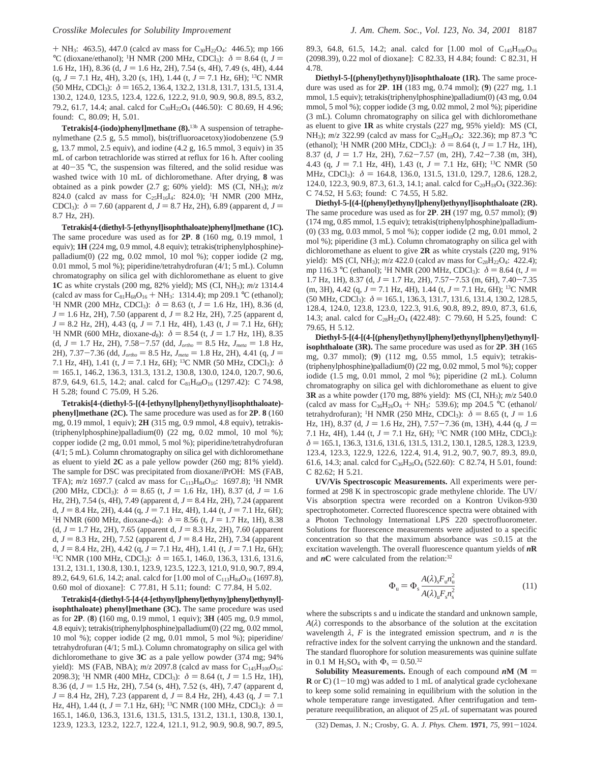$+$  NH<sub>3</sub>: 463.5), 447.0 (calcd av mass for C<sub>30</sub>H<sub>22</sub>O<sub>4</sub>: 446.5); mp 166  $^{\circ}$ C (dioxane/ethanol); <sup>1</sup>H NMR (200 MHz, CDCl<sub>3</sub>):  $\delta = 8.64$  (t, *J* = 1.6 Hz, 1H) 8.36 (d, *J* = 1.6 Hz, 2H) 7.54 (s, 4H) 7.49 (s, 4H) 4.44 1.6 Hz, 1H), 8.36 (d,  $J = 1.6$  Hz, 2H), 7.54 (s, 4H), 7.49 (s, 4H), 4.44  $(q, J = 7.1$  Hz, 4H), 3.20 (s, 1H), 1.44 (t,  $J = 7.1$  Hz, 6H); <sup>13</sup>C NMR  $(50 \text{ MHz}, \text{CDCl}_3): \delta = 165.2, 136.4, 132.2, 131.8, 131.7, 131.5, 131.4,$ 130.2, 124.0, 123.5, 123.4, 122.6, 122.2, 91.0, 90.9, 90.8, 89.5, 83.2, 79.2, 61.7, 14.4; anal. calcd for C<sub>30</sub>H<sub>22</sub>O<sub>4</sub> (446.50): C 80.69, H 4.96; found: C, 80.09; H, 5.01.

**Tetrakis[4-(iodo)phenyl]methane (8).**13b A suspension of tetraphenylmethane (2.5 g, 5.5 mmol), bis(trifluoroacetoxy)iodobenzene (5.9 g, 13.7 mmol, 2.5 equiv), and iodine (4.2 g, 16.5 mmol, 3 equiv) in 35 mL of carbon tetrachloride was stirred at reflux for 16 h. After cooling at  $40-35$  °C, the suspension was filtered, and the solid residue was washed twice with 10 mL of dichloromethane. After drying, **8** was obtained as a pink powder (2.7 g; 60% yield): MS (CI, NH3); *m*/*z* 824.0 (calcd av mass for C<sub>25</sub>H<sub>16</sub>I<sub>4</sub>: 824.0); <sup>1</sup>H NMR (200 MHz, CDCl<sub>3</sub>):  $\delta$  = 7.60 (apparent d, *J* = 8.7 Hz, 2H), 6.89 (apparent d, *J* = 8.7 Hz, 2H).

**Tetrakis[4-(diethyl-5-[ethynyl]isophthaloate)phenyl]methane (1C).** The same procedure was used as for **2P**. **8** (160 mg, 0.19 mmol, 1 equiv); **1H** (224 mg, 0.9 mmol, 4.8 equiv); tetrakis(triphenylphosphine) palladium $(0)$   $(22 \text{ mg}, 0.02 \text{ mmol}, 10 \text{ mol} \%)$ ; copper iodide  $(2 \text{ mg},$ 0.01 mmol, 5 mol %); piperidine/tetrahydrofuran (4/1; 5 mL). Column chromatography on silica gel with dichloromethane as eluent to give **1C** as white crystals (200 mg, 82% yield); MS (CI, NH3); *m*/*z* 1314.4 (calcd av mass for C<sub>81</sub>H<sub>68</sub>O<sub>16</sub> + NH<sub>3</sub>: 1314.4); mp 209.1 °C (ethanol); <sup>1</sup>H NMR (200 MHz, CDCl<sub>3</sub>):  $\delta = 8.63$  (t, *J* = 1.6 Hz, 1H), 8.36 (d,  $J = 1.6$  Hz, 2H), 7.50 (apparent d,  $J = 8.2$  Hz, 2H), 7.25 (apparent d,  $J = 8.2$  Hz, 2H), 4.43 (q,  $J = 7.1$  Hz, 4H), 1.43 (t,  $J = 7.1$  Hz, 6H); <sup>1</sup>H NMR (600 MHz, dioxane-*d*<sub>8</sub>):  $\delta$  = 8.54 (t, *J* = 1.7 Hz, 1H), 8.35 (d,  $J = 1.7$  Hz, 2H), 7.58-7.57 (dd,  $J_{ortho} = 8.5$  Hz,  $J_{meta} = 1.8$  Hz, 2H), 7.37-7.36 (dd, *J<sub>ortho</sub>* = 8.5 Hz, *J<sub>meta</sub>* = 1.8 Hz, 2H), 4.41 (q, *J* = 7.1 Hz, 4H), 1.41 (t, *J* = 7.1 Hz, 6H); <sup>13</sup>C NMR (50 MHz, CDCl<sub>3</sub>): δ  $= 165.1, 146.2, 136.3, 131.3, 131.2, 130.8, 130.0, 124.0, 120.7, 90.6,$ 87.9, 64.9, 61.5, 14.2; anal. calcd for C<sub>81</sub>H<sub>68</sub>O<sub>16</sub> (1297.42): C 74.98, H 5.28; found C 75.09, H 5.26.

**Tetrakis[4-(diethyl-5-[(4-[ethynyl]phenyl)ethynyl]isophthaloate) phenyl]methane (2C).** The same procedure was used as for **2P**. **8** (160 mg, 0.19 mmol, 1 equiv); **2H** (315 mg, 0.9 mmol, 4.8 equiv), tetrakis- (triphenylphosphine)palladium(0) (22 mg, 0.02 mmol, 10 mol %); copper iodide (2 mg, 0.01 mmol, 5 mol %); piperidine/tetrahydrofuran (4/1; 5 mL). Column chromatography on silica gel with dichloromethane as eluent to yield **2C** as a pale yellow powder (260 mg; 81% yield). The sample for DSC was precipitated from dioxane/*i*PrOH: MS (FAB, TFA);  $m/z$  1697.7 (calcd av mass for C<sub>113</sub>H<sub>84</sub>O<sub>16</sub>: 1697.8); <sup>1</sup>H NMR  $(200 \text{ MHz}, \text{CDCl}_3): \delta = 8.65 \text{ (t, } J = 1.6 \text{ Hz}, 1H), 8.37 \text{ (d, } J = 1.6 \text{ Hz})$ Hz, 2H), 7.54 (s, 4H), 7.49 (apparent d,  $J = 8.4$  Hz, 2H), 7.24 (apparent d,  $J = 8.4$  Hz, 2H), 4.44 (q,  $J = 7.1$  Hz, 4H), 1.44 (t,  $J = 7.1$  Hz, 6H); <sup>1</sup>H NMR (600 MHz, dioxane-*d*<sub>8</sub>):  $\delta$  = 8.56 (t, *J* = 1.7 Hz, 1H), 8.38 (d,  $J = 1.7$  Hz, 2H), 7.65 (apparent d,  $J = 8.3$  Hz, 2H), 7.60 (apparent d,  $J = 8.3$  Hz, 2H), 7.52 (apparent d,  $J = 8.4$  Hz, 2H), 7.34 (apparent d,  $J = 8.4$  Hz, 2H), 4.42 (q,  $J = 7.1$  Hz, 4H), 1.41 (t,  $J = 7.1$  Hz, 6H); d, *<sup>J</sup>* ) 8.4 Hz, 2H), 4.42 (q, *<sup>J</sup>* ) 7.1 Hz, 4H), 1.41 (t, *<sup>J</sup>* ) 7.1 Hz, 6H); 13C NMR (100 MHz, CDCl3): *<sup>δ</sup>* ) 165.1, 146.0, 136.3, 131.6, 131.6, 131.2, 131.1, 130.8, 130.1, 123.9, 123.5, 122.3, 121.0, 91.0, 90.7, 89.4, 89.2, 64.9, 61.6, 14.2; anal. calcd for [1.00 mol of  $C_{113}H_{84}O_{16}$  (1697.8), 0.60 mol of dioxane]: C 77.81, H 5.11; found: C 77.84, H 5.02.

**Tetrakis[4-(diethyl-5-[4-(4-[ethynyl]phenyl)ethyny]phenyl)ethynyl] isophthaloate) phenyl]methane (3C).** The same procedure was used as for **2P**. (**8**) **(**160 mg, 0.19 mmol, 1 equiv); **3H** (405 mg, 0.9 mmol, 4.8 equiv); tetrakis(triphenylphosphine)palladium(0) (22 mg, 0.02 mmol, 10 mol %); copper iodide (2 mg, 0.01 mmol, 5 mol %); piperidine/ tetrahydrofuran (4/1; 5 mL). Column chromatography on silica gel with dichloromethane to give **3C** as a pale yellow powder (374 mg; 94% yield): MS (FAB, NBA);  $m/z$  2097.8 (calcd av mass for C<sub>145</sub>H<sub>100</sub>O<sub>16</sub>: 2098.3); <sup>1</sup>H NMR (400 MHz, CDCl<sub>3</sub>):  $\delta = 8.64$  (t,  $J = 1.5$  Hz, 1H), 8.36 (d,  $J = 1.5$  Hz, 2H), 7.54 (s, 4H), 7.52 (s, 4H), 7.47 (apparent d,  $J = 8.4$  Hz, 2H), 7.23 (apparent d,  $J = 8.4$  Hz, 2H), 4.43 (q,  $J = 7.1$ Hz, 4H), 1.44 (t,  $J = 7.1$  Hz, 6H); <sup>13</sup>C NMR (100 MHz, CDCl<sub>3</sub>):  $\delta =$ 165.1, 146.0, 136.3, 131.6, 131.5, 131.5, 131.2, 131.1, 130.8, 130.1, 123.9, 123.3, 123.2, 122.7, 122.4, 121.1, 91.2, 90.9, 90.8, 90.7, 89.5, 89.3, 64.8, 61.5, 14.2; anal. calcd for [1.00 mol of  $C_{145}H_{100}O_{16}$ (2098.39), 0.22 mol of dioxane]: C 82.33, H 4.84; found: C 82.31, H 4.78.

**Diethyl-5-[(phenyl)ethynyl)]isophthaloate (1R).** The same procedure was used as for **2P**. **1H** (183 mg, 0.74 mmol); (**9**) (227 mg, 1.1 mmol, 1.5 equiv); tetrakis(triphenylphosphine)palladium(0) (43 mg, 0.04 mmol, 5 mol %); copper iodide (3 mg, 0.02 mmol, 2 mol %); piperidine (3 mL). Column chromatography on silica gel with dichloromethane as eluent to give **1R** as white crystals (227 mg, 95% yield): MS (CI, NH<sub>3</sub>); *m*/*z* 322.99 (calcd av mass for C<sub>20</sub>H<sub>18</sub>O<sub>4</sub>: 322.36); mp 87.3 °C (ethanol); <sup>1</sup>H NMR (200 MHz, CDCl<sub>3</sub>):  $\delta$  = 8.64 (t, *J* = 1.7 Hz, 1H), 8.37 (d,  $J = 1.7$  Hz, 2H), 7.62-7.57 (m, 2H), 7.42-7.38 (m, 3H), 4.43 (q,  $J = 7.1$  Hz, 4H), 1.43 (t,  $J = 7.1$  Hz, 6H); <sup>13</sup>C NMR (50) MHz, CDCl<sub>3</sub>):  $\delta$  = 164.8, 136.0, 131.5, 131.0, 129.7, 128.6, 128.2, 124.0, 122.3, 90.9, 87.3, 61.3, 14.1; anal. calcd for C<sub>20</sub>H<sub>18</sub>O<sub>4</sub> (322.36): C 74.52, H 5.63; found: C 74.55, H 5.82.

**Diethyl-5-[(4-[(phenyl)ethynyl]phenyl)ethynyl]isophthaloate (2R).** The same procedure was used as for **2P**. **2H** (197 mg, 0.57 mmol); (**9**) (174 mg, 0.85 mmol, 1.5 equiv); tetrakis(triphenylphosphine)palladium- (0) (33 mg, 0.03 mmol, 5 mol %); copper iodide (2 mg, 0.01 mmol, 2 mol %); piperidine (3 mL). Column chromatography on silica gel with dichloromethane as eluent to give **2R** as white crystals (220 mg, 91% yield): MS (CI, NH<sub>3</sub>);  $m/z$  422.0 (calcd av mass for C<sub>28</sub>H<sub>22</sub>O<sub>4</sub>: 422.4); mp 116.3 °C (ethanol); <sup>1</sup>H NMR (200 MHz, CDCl<sub>3</sub>):  $\delta$  = 8.64 (t, *J* = 1.7 Hz, 1H), 8.37 (d,  $J = 1.7$  Hz, 2H),  $7.57 - 7.53$  (m, 6H),  $7.40 - 7.35$  $(m, 3H)$ , 4.42  $(q, J = 7.1$  Hz, 4H), 1.44  $(t, J = 7.1$  Hz, 6H); <sup>13</sup>C NMR  $(50 \text{ MHz}, \text{CDCl}_3)$ :  $\delta = 165.1, 136.3, 131.7, 131.6, 131.4, 130.2, 128.5,$ 128.4, 124.0, 123.8, 123.0, 122.3, 91.6, 90.8, 89.2, 89.0, 87.3, 61.6, 14.3; anal. calcd for C<sub>28</sub>H<sub>22</sub>O<sub>4</sub> (422.48): C 79.60, H 5.25, found: C 79.65, H 5.12.

**Diethyl-5-[(4-[(4-[(phenyl)ethynyl]phenyl)ethynyl]phenyl)ethynyl] isophthaloate (3R).** The same procedure was used as for **2P**. **3H** (165 mg, 0.37 mmol); (**9**) (112 mg, 0.55 mmol, 1.5 equiv); tetrakis- (triphenylphosphine)palladium(0) (22 mg, 0.02 mmol, 5 mol %); copper iodide (1.5 mg, 0.01 mmol, 2 mol %); piperidine (2 mL). Column chromatography on silica gel with dichloromethane as eluent to give **3R** as a white powder (170 mg, 88% yield): MS (CI, NH3); *m*/*z* 540.0 (calcd av mass for  $C_{36}H_{26}O_4 + NH_3$ : 539.6); mp 204.5 °C (ethanol/ tetrahydrofuran); <sup>1</sup>H NMR (250 MHz, CDCl<sub>3</sub>):  $\delta = 8.65$  (t, *J* = 1.6<br>Hz, 1H) 8.37 (d, *J* = 1.6 Hz, 2H) 7.57–7.36 (m, 13H) A AA (g, *J* = Hz, 1H), 8.37 (d,  $J = 1.6$  Hz, 2H), 7.57-7.36 (m, 13H), 4.44 (q,  $J =$ 7.1 Hz, 4H), 1.44 (t,  $J = 7.1$  Hz, 6H); <sup>13</sup>C NMR (100 MHz, CDCl<sub>3</sub>): *<sup>δ</sup>* ) 165.1, 136.3, 131.6, 131.6, 131.5, 131.2, 130.1, 128.5, 128.3, 123.9, 123.4, 123.3, 122.9, 122.6, 122.4, 91.4, 91.2, 90.7, 90.7, 89.3, 89.0, 61.6, 14.3; anal. calcd for  $C_{36}H_{26}O_4$  (522.60): C 82.74, H 5.01, found: C 82.62; H 5.21.

**UV/Vis Spectroscopic Measurements.** All experiments were performed at 298 K in spectroscopic grade methylene chloride. The UV/ Vis absorption spectra were recorded on a Kontron Uvikon-930 spectrophotometer. Corrected fluorescence spectra were obtained with a Photon Technology International LPS 220 spectrofluorometer. Solutions for fluorescence measurements were adjusted to a specific concentration so that the maximum absorbance was  $\leq 0.15$  at the excitation wavelength. The overall fluorescence quantum yields of *n***R** and  $nC$  were calculated from the relation:<sup>32</sup>

$$
\Phi_{\mathbf{u}} = \Phi_{\mathbf{s}} \frac{A(\lambda)_{\mathbf{s}} F_{\mathbf{u}} n_{\mathbf{u}}^2}{A(\lambda)_{\mathbf{u}} F_{\mathbf{s}} n_{\mathbf{s}}^2}
$$
\n(11)

where the subscripts s and u indicate the standard and unknown sample,  $A(\lambda)$  corresponds to the absorbance of the solution at the excitation wavelength  $\lambda$ ,  $F$  is the integrated emission spectrum, and  $n$  is the refractive index for the solvent carrying the unknown and the standard. The standard fluorophore for solution measurements was quinine sulfate in 0.1 M H<sub>2</sub>SO<sub>4</sub> with  $\Phi_s = 0.50^{32}$ 

**Solubility Measurements.** Enough of each compound  $nM$  ( $M =$ **R** or **C**)  $(1-10 \text{ mg})$  was added to 1 mL of analytical grade cyclohexane to keep some solid remaining in equilibrium with the solution in the whole temperature range investigated. After centrifugation and temperature reequilibration, an aliquot of 25 *µ*L of supernatant was poured